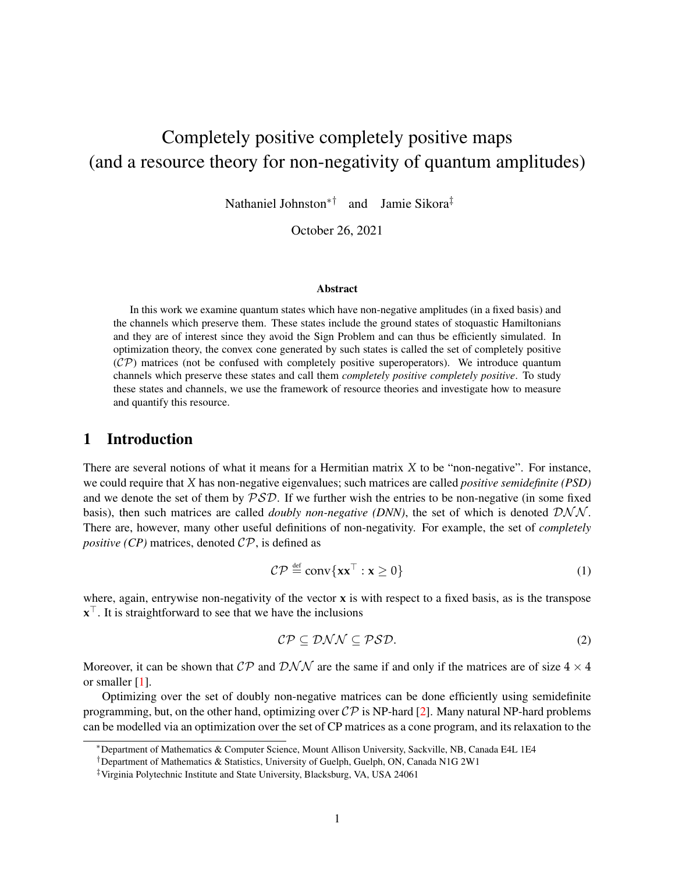# Completely positive completely positive maps (and a resource theory for non-negativity of quantum amplitudes)

Nathaniel Johnston∗† and Jamie Sikora‡

October 26, 2021

#### **Abstract**

In this work we examine quantum states which have non-negative amplitudes (in a fixed basis) and the channels which preserve them. These states include the ground states of stoquastic Hamiltonians and they are of interest since they avoid the Sign Problem and can thus be efficiently simulated. In optimization theory, the convex cone generated by such states is called the set of completely positive  $({\cal CP})$  matrices (not be confused with completely positive superoperators). We introduce quantum channels which preserve these states and call them *completely positive completely positive*. To study these states and channels, we use the framework of resource theories and investigate how to measure and quantify this resource.

## 1 Introduction

There are several notions of what it means for a Hermitian matrix *X* to be "non-negative". For instance, we could require that *X* has non-negative eigenvalues; such matrices are called *positive semidefinite (PSD)* and we denote the set of them by  $\mathcal{PSD}$ . If we further wish the entries to be non-negative (in some fixed basis), then such matrices are called *doubly non-negative (DNN)*, the set of which is denoted  $\mathcal{DNN}$ . There are, however, many other useful definitions of non-negativity. For example, the set of *completely positive (CP)* matrices, denoted  $\mathcal{CP}$ , is defined as

$$
C\mathcal{P} \stackrel{\text{def}}{=} \text{conv}\{\mathbf{x}\mathbf{x}^{\top} : \mathbf{x} \ge 0\}
$$
 (1)

where, again, entrywise non-negativity of the vector **x** is with respect to a fixed basis, as is the transpose  $\mathbf{x}^{\top}$ . It is straightforward to see that we have the inclusions

$$
\mathcal{CP} \subseteq \mathcal{DNN} \subseteq \mathcal{PSD}.\tag{2}
$$

Moreover, it can be shown that  $\mathcal{CP}$  and  $\mathcal{DNN}$  are the same if and only if the matrices are of size  $4 \times 4$ or smaller [\[1\]](#page-25-0).

Optimizing over the set of doubly non-negative matrices can be done efficiently using semidefinite programming, but, on the other hand, optimizing over  $\mathcal{CP}$  is NP-hard [\[2\]](#page-25-1). Many natural NP-hard problems can be modelled via an optimization over the set of CP matrices as a cone program, and its relaxation to the

<sup>∗</sup>Department of Mathematics & Computer Science, Mount Allison University, Sackville, NB, Canada E4L 1E4

<sup>†</sup>Department of Mathematics & Statistics, University of Guelph, Guelph, ON, Canada N1G 2W1

<sup>‡</sup>Virginia Polytechnic Institute and State University, Blacksburg, VA, USA 24061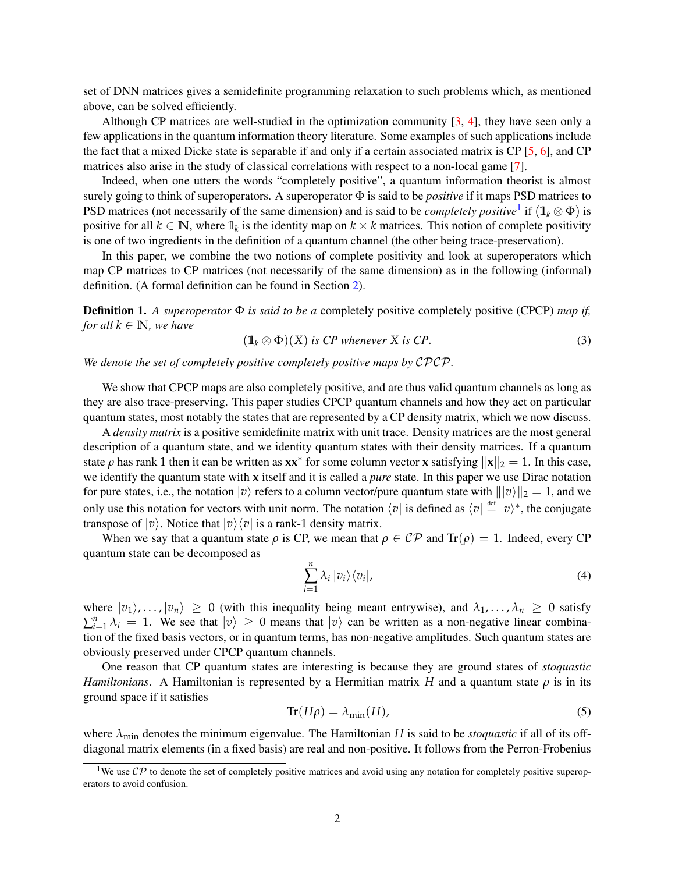set of DNN matrices gives a semidefinite programming relaxation to such problems which, as mentioned above, can be solved efficiently.

Although CP matrices are well-studied in the optimization community  $[3, 4]$  $[3, 4]$  $[3, 4]$ , they have seen only a few applications in the quantum information theory literature. Some examples of such applications include the fact that a mixed Dicke state is separable if and only if a certain associated matrix is CP [\[5,](#page-26-1) [6\]](#page-26-2), and CP matrices also arise in the study of classical correlations with respect to a non-local game [\[7\]](#page-26-3).

Indeed, when one utters the words "completely positive", a quantum information theorist is almost surely going to think of superoperators. A superoperator Φ is said to be *positive* if it maps PSD matrices to PSD matrices (not necessarily of the same dimension) and is said to be *completely positive*<sup>[1](#page-1-0)</sup> if  $(1_k \otimes \Phi)$  is positive for all  $k \in \mathbb{N}$ , where  $\mathbb{1}_k$  is the identity map on  $k \times k$  matrices. This notion of complete positivity is one of two ingredients in the definition of a quantum channel (the other being trace-preservation).

In this paper, we combine the two notions of complete positivity and look at superoperators which map CP matrices to CP matrices (not necessarily of the same dimension) as in the following (informal) definition. (A formal definition can be found in Section [2\)](#page-2-0).

Definition 1. *A superoperator* Φ *is said to be a* completely positive completely positive (CPCP) *map if, for all*  $k \in \mathbb{N}$ *, we have* 

$$
(\mathbb{1}_k \otimes \Phi)(X) \text{ is } CP \text{ whenever } X \text{ is } CP.
$$
 (3)

*We denote the set of completely positive completely positive maps by* CPCP*.*

We show that CPCP maps are also completely positive, and are thus valid quantum channels as long as they are also trace-preserving. This paper studies CPCP quantum channels and how they act on particular quantum states, most notably the states that are represented by a CP density matrix, which we now discuss.

A *density matrix* is a positive semidefinite matrix with unit trace. Density matrices are the most general description of a quantum state, and we identity quantum states with their density matrices. If a quantum state  $\rho$  has rank 1 then it can be written as  $xx^*$  for some column vector x satisfying  $||x||_2 = 1$ . In this case, we identify the quantum state with **x** itself and it is called a *pure* state. In this paper we use Dirac notation for pure states, i.e., the notation  $|v\rangle$  refers to a column vector/pure quantum state with  $\| |v\rangle \|_2 = 1$ , and we only use this notation for vectors with unit norm. The notation  $\langle v |$  is defined as  $\langle v | \stackrel{\text{def}}{=} |v \rangle^*$ , the conjugate transpose of  $|v\rangle$ . Notice that  $|v\rangle\langle v|$  is a rank-1 density matrix.

When we say that a quantum state  $\rho$  is CP, we mean that  $\rho \in \mathcal{CP}$  and  $\text{Tr}(\rho) = 1$ . Indeed, every CP quantum state can be decomposed as

$$
\sum_{i=1}^{n} \lambda_i |v_i\rangle\langle v_i|, \tag{4}
$$

where  $|v_1\rangle, \ldots, |v_n\rangle \ge 0$  (with this inequality being meant entrywise), and  $\lambda_1, \ldots, \lambda_n \ge 0$  satisfy  $\sum_{i=1}^{n} \lambda_i = 1$ . We see that  $|v\rangle \ge 0$  means that  $|v\rangle$  can be written as a non-negative linear combination of the fixed basis vectors, or in quantum terms, has non-negative amplitudes. Such quantum states are obviously preserved under CPCP quantum channels.

One reason that CP quantum states are interesting is because they are ground states of *stoquastic Hamiltonians.* A Hamiltonian is represented by a Hermitian matrix *H* and a quantum state  $\rho$  is in its ground space if it satisfies

$$
\operatorname{Tr}(H\rho) = \lambda_{\min}(H),\tag{5}
$$

where  $\lambda_{\text{min}}$  denotes the minimum eigenvalue. The Hamiltonian *H* is said to be *stoquastic* if all of its offdiagonal matrix elements (in a fixed basis) are real and non-positive. It follows from the Perron-Frobenius

<span id="page-1-0"></span><sup>&</sup>lt;sup>1</sup>We use  $\mathcal{CP}$  to denote the set of completely positive matrices and avoid using any notation for completely positive superoperators to avoid confusion.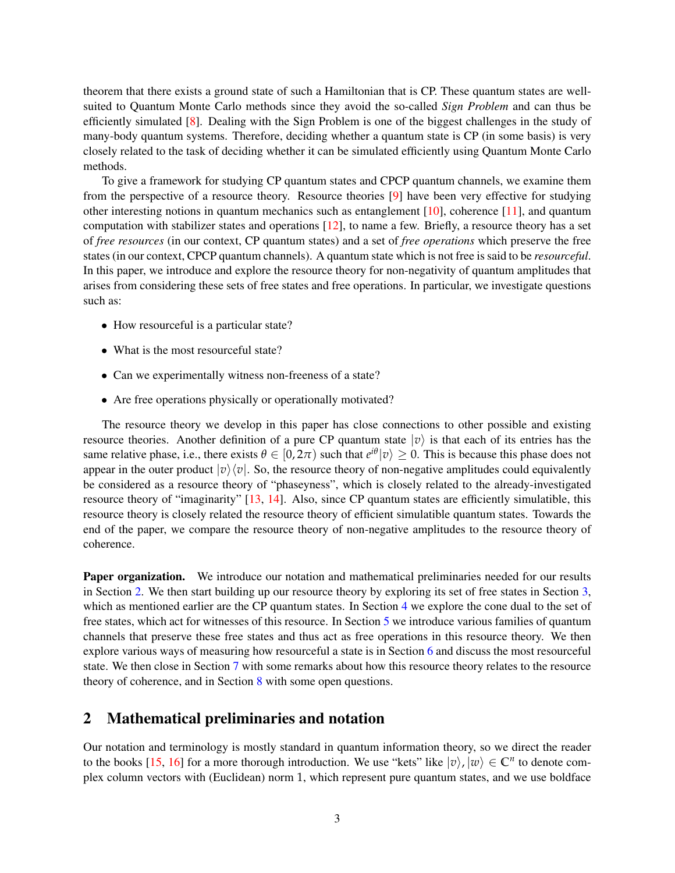theorem that there exists a ground state of such a Hamiltonian that is CP. These quantum states are wellsuited to Quantum Monte Carlo methods since they avoid the so-called *Sign Problem* and can thus be efficiently simulated [\[8\]](#page-26-4). Dealing with the Sign Problem is one of the biggest challenges in the study of many-body quantum systems. Therefore, deciding whether a quantum state is CP (in some basis) is very closely related to the task of deciding whether it can be simulated efficiently using Quantum Monte Carlo methods.

To give a framework for studying CP quantum states and CPCP quantum channels, we examine them from the perspective of a resource theory. Resource theories [\[9\]](#page-26-5) have been very effective for studying other interesting notions in quantum mechanics such as entanglement [\[10\]](#page-26-6), coherence [\[11\]](#page-26-7), and quantum computation with stabilizer states and operations [\[12\]](#page-26-8), to name a few. Briefly, a resource theory has a set of *free resources* (in our context, CP quantum states) and a set of *free operations* which preserve the free states (in our context, CPCP quantum channels). A quantum state which is not free is said to be *resourceful*. In this paper, we introduce and explore the resource theory for non-negativity of quantum amplitudes that arises from considering these sets of free states and free operations. In particular, we investigate questions such as:

- How resourceful is a particular state?
- What is the most resourceful state?
- Can we experimentally witness non-freeness of a state?
- Are free operations physically or operationally motivated?

The resource theory we develop in this paper has close connections to other possible and existing resource theories. Another definition of a pure CP quantum state  $|v\rangle$  is that each of its entries has the same relative phase, i.e., there exists  $\theta \in [0, 2\pi)$  such that  $e^{i\theta} |v\rangle \ge 0$ . This is because this phase does not appear in the outer product  $|v\rangle\langle v|$ . So, the resource theory of non-negative amplitudes could equivalently be considered as a resource theory of "phaseyness", which is closely related to the already-investigated resource theory of "imaginarity" [\[13,](#page-26-9) [14\]](#page-26-10). Also, since CP quantum states are efficiently simulatible, this resource theory is closely related the resource theory of efficient simulatible quantum states. Towards the end of the paper, we compare the resource theory of non-negative amplitudes to the resource theory of coherence.

Paper organization. We introduce our notation and mathematical preliminaries needed for our results in Section [2.](#page-2-0) We then start building up our resource theory by exploring its set of free states in Section [3,](#page-3-0) which as mentioned earlier are the CP quantum states. In Section [4](#page-5-0) we explore the cone dual to the set of free states, which act for witnesses of this resource. In Section [5](#page-6-0) we introduce various families of quantum channels that preserve these free states and thus act as free operations in this resource theory. We then explore various ways of measuring how resourceful a state is in Section [6](#page-17-0) and discuss the most resourceful state. We then close in Section [7](#page-24-0) with some remarks about how this resource theory relates to the resource theory of coherence, and in Section [8](#page-25-3) with some open questions.

## <span id="page-2-0"></span>2 Mathematical preliminaries and notation

Our notation and terminology is mostly standard in quantum information theory, so we direct the reader to the books [\[15,](#page-26-11) [16\]](#page-26-12) for a more thorough introduction. We use "kets" like  $|v\rangle$ ,  $|w\rangle \in \mathbb{C}^n$  to denote complex column vectors with (Euclidean) norm 1, which represent pure quantum states, and we use boldface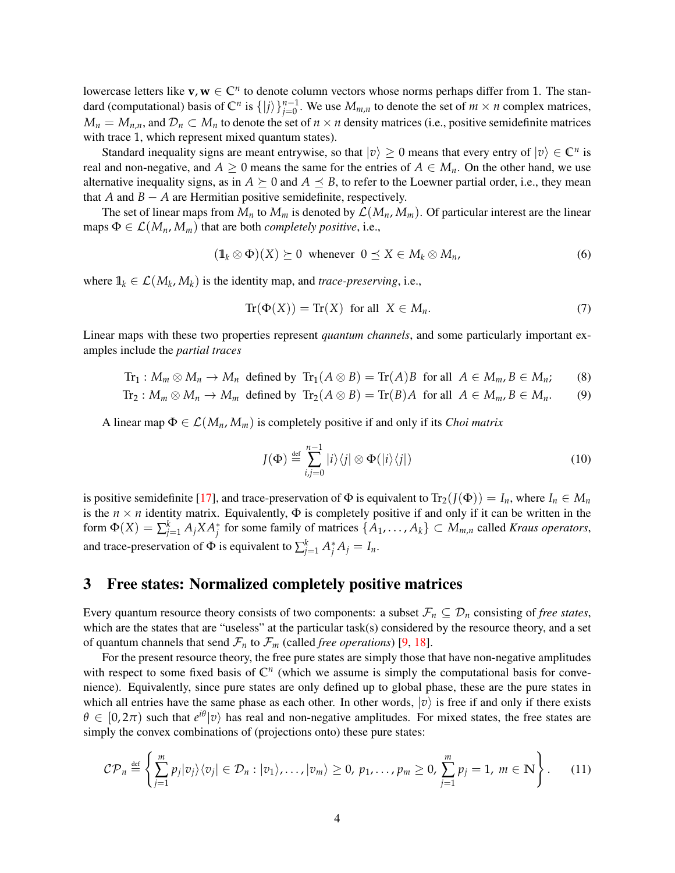lowercase letters like  $v, w \in \mathbb{C}^n$  to denote column vectors whose norms perhaps differ from 1. The standard (computational) basis of  $\mathbb{C}^n$  is  $\{|j\rangle\}_{j=0}^{n-1}$ . We use  $M_{m,n}$  to denote the set of  $m \times n$  complex matrices,  $M_n = M_{n,n}$ , and  $\mathcal{D}_n \subset M_n$  to denote the set of  $n \times n$  density matrices (i.e., positive semidefinite matrices with trace 1, which represent mixed quantum states).

Standard inequality signs are meant entrywise, so that  $|v\rangle \ge 0$  means that every entry of  $|v\rangle \in \mathbb{C}^n$  is real and non-negative, and  $A \ge 0$  means the same for the entries of  $A \in M_n$ . On the other hand, we use alternative inequality signs, as in  $A \succeq 0$  and  $A \preceq B$ , to refer to the Loewner partial order, i.e., they mean that *A* and  $B - A$  are Hermitian positive semidefinite, respectively.

The set of linear maps from  $M_n$  to  $M_m$  is denoted by  $\mathcal{L}(M_n, M_m)$ . Of particular interest are the linear maps  $\Phi \in \mathcal{L}(M_n, M_m)$  that are both *completely positive*, i.e.,

$$
(\mathbb{1}_k \otimes \Phi)(X) \succeq 0 \text{ whenever } 0 \le X \in M_k \otimes M_n, \tag{6}
$$

where  $\mathbb{1}_k \in \mathcal{L}(M_k, M_k)$  is the identity map, and *trace-preserving*, i.e.,

$$
Tr(\Phi(X)) = Tr(X) \text{ for all } X \in M_n. \tag{7}
$$

Linear maps with these two properties represent *quantum channels*, and some particularly important examples include the *partial traces*

$$
\text{Tr}_1: M_m \otimes M_n \to M_n \text{ defined by } \text{Tr}_1(A \otimes B) = \text{Tr}(A)B \text{ for all } A \in M_m, B \in M_n; \qquad (8)
$$

$$
\text{Tr}_2: M_m \otimes M_n \to M_m \text{ defined by } \text{Tr}_2(A \otimes B) = \text{Tr}(B)A \text{ for all } A \in M_m, B \in M_n. \tag{9}
$$

A linear map  $\Phi \in \mathcal{L}(M_n, M_m)$  is completely positive if and only if its *Choi matrix* 

<span id="page-3-1"></span>
$$
J(\Phi) \stackrel{\text{def}}{=} \sum_{i,j=0}^{n-1} |i\rangle\langle j| \otimes \Phi(|i\rangle\langle j|)
$$
 (10)

is positive semidefinite [\[17\]](#page-26-13), and trace-preservation of  $\Phi$  is equivalent to  $Tr_2(I(\Phi)) = I_n$ , where  $I_n \in M_n$ is the  $n \times n$  identity matrix. Equivalently,  $\Phi$  is completely positive if and only if it can be written in the form  $\Phi(X) = \sum_{j=1}^{k} A_j X A_j^*$  for some family of matrices  $\{A_1, \ldots, A_k\} \subset M_{m,n}$  called *Kraus operators*, and trace-preservation of  $\Phi$  is equivalent to  $\sum_{j=1}^{k} A_j^* A_j = I_n$ .

## <span id="page-3-0"></span>3 Free states: Normalized completely positive matrices

Every quantum resource theory consists of two components: a subset  $\mathcal{F}_n \subseteq \mathcal{D}_n$  consisting of *free states*, which are the states that are "useless" at the particular task(s) considered by the resource theory, and a set of quantum channels that send  $\mathcal{F}_n$  to  $\mathcal{F}_m$  (called *free operations*) [\[9,](#page-26-5) [18\]](#page-26-14).

For the present resource theory, the free pure states are simply those that have non-negative amplitudes with respect to some fixed basis of  $\mathbb{C}^n$  (which we assume is simply the computational basis for convenience). Equivalently, since pure states are only defined up to global phase, these are the pure states in which all entries have the same phase as each other. In other words,  $|v\rangle$  is free if and only if there exists  $\theta \in [0, 2\pi)$  such that  $e^{i\theta} |v\rangle$  has real and non-negative amplitudes. For mixed states, the free states are simply the convex combinations of (projections onto) these pure states:

$$
\mathcal{CP}_n \stackrel{\text{def}}{=} \left\{ \sum_{j=1}^m p_j |v_j\rangle \langle v_j| \in \mathcal{D}_n : |v_1\rangle, \ldots, |v_m\rangle \geq 0, \ p_1, \ldots, p_m \geq 0, \ \sum_{j=1}^m p_j = 1, \ m \in \mathbb{N} \right\}.
$$
 (11)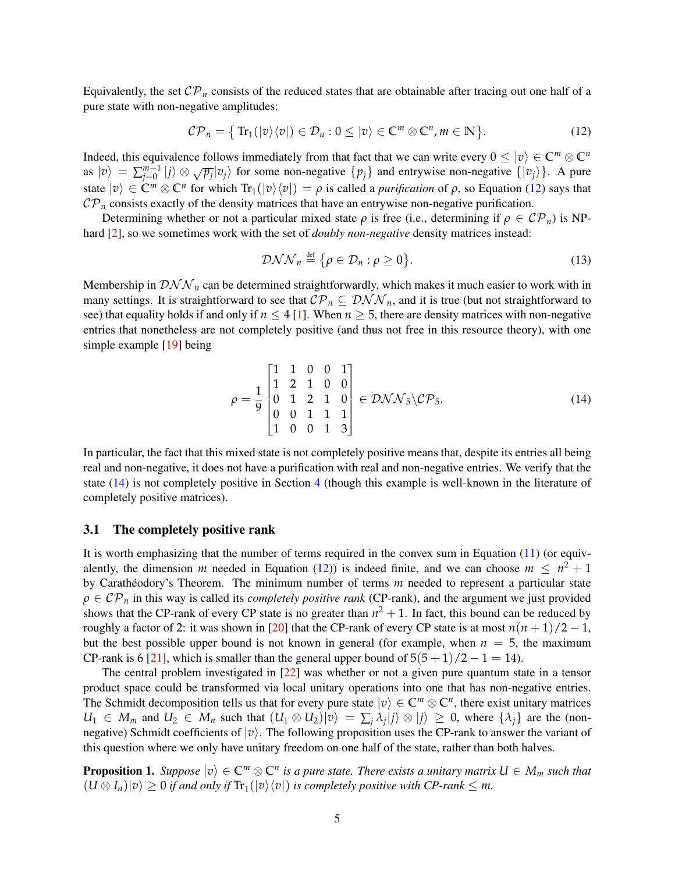Equivalently, the set  $\mathcal{CP}_n$  consists of the reduced states that are obtainable after tracing out one half of a pure state with non-negative amplitudes:

$$
\mathcal{CP}_n = \{ \text{Tr}_1(|v\rangle\langle v|) \in \mathcal{D}_n : 0 \leq |v\rangle \in \mathbb{C}^m \otimes \mathbb{C}^n, m \in \mathbb{N} \}. \tag{12}
$$

Indeed, this equivalence follows immediately from that fact that we can write every  $0 \le |v\rangle \in \mathbb{C}^m \otimes \mathbb{C}^n$ as  $|v\rangle = \sum_{i=0}^{m-1}$  $\int_{j=0}^{m-1} |j\rangle \otimes \sqrt{p_j} |v_j\rangle$  for some non-negative  $\{p_j\}$  and entrywise non-negative  $\{|v_j\rangle\}$ . A pure state  $|v\rangle \in \mathbb{C}^m \otimes \mathbb{C}^n$  for which  $\text{Tr}_1(|v\rangle\langle v|) = \rho$  is called a *purification* of  $\rho$ , so Equation [\(12\)](#page-4-0) says that  $\mathcal{CP}_n$  consists exactly of the density matrices that have an entrywise non-negative purification.

Determining whether or not a particular mixed state  $\rho$  is free (i.e., determining if  $\rho \in CP_n$ ) is NPhard [\[2\]](#page-25-1), so we sometimes work with the set of *doubly non-negative* density matrices instead:

<span id="page-4-1"></span><span id="page-4-0"></span>
$$
\mathcal{DNN}_n \stackrel{\text{def}}{=} \{ \rho \in \mathcal{D}_n : \rho \ge 0 \}. \tag{13}
$$

Membership in  $\mathcal{DNN}_n$  can be determined straightforwardly, which makes it much easier to work with in many settings. It is straightforward to see that  $\mathcal{CP}_n \subseteq \mathcal{DNN}_n$ , and it is true (but not straightforward to see) that equality holds if and only if  $n \leq 4$  [\[1\]](#page-25-0). When  $n \geq 5$ , there are density matrices with non-negative entries that nonetheless are not completely positive (and thus not free in this resource theory), with one simple example [\[19\]](#page-26-15) being

$$
\rho = \frac{1}{9} \begin{bmatrix} 1 & 1 & 0 & 0 & 1 \\ 1 & 2 & 1 & 0 & 0 \\ 0 & 1 & 2 & 1 & 0 \\ 0 & 0 & 1 & 1 & 1 \\ 1 & 0 & 0 & 1 & 3 \end{bmatrix} \in \mathcal{DNN}_5 \backslash \mathcal{CP}_5.
$$
 (14)

In particular, the fact that this mixed state is not completely positive means that, despite its entries all being real and non-negative, it does not have a purification with real and non-negative entries. We verify that the state [\(14\)](#page-4-1) is not completely positive in Section [4](#page-5-0) (though this example is well-known in the literature of completely positive matrices).

#### 3.1 The completely positive rank

It is worth emphasizing that the number of terms required in the convex sum in Equation [\(11\)](#page-3-1) (or equivalently, the dimension *m* needed in Equation [\(12\)](#page-4-0)) is indeed finite, and we can choose  $m \leq n^2 + 1$ by Carathéodory's Theorem. The minimum number of terms *m* needed to represent a particular state  $\rho \in \mathcal{CP}_n$  in this way is called its *completely positive rank* (CP-rank), and the argument we just provided shows that the CP-rank of every CP state is no greater than  $n^2 + 1$ . In fact, this bound can be reduced by roughly a factor of 2: it was shown in [\[20\]](#page-26-16) that the CP-rank of every CP state is at most  $n(n+1)/2 - 1$ , but the best possible upper bound is not known in general (for example, when  $n = 5$ , the maximum CP-rank is 6 [\[21\]](#page-26-17), which is smaller than the general upper bound of  $5(5+1)/2-1=14$ ).

The central problem investigated in [\[22\]](#page-26-18) was whether or not a given pure quantum state in a tensor product space could be transformed via local unitary operations into one that has non-negative entries. The Schmidt decomposition tells us that for every pure state  $|v\rangle \in \mathbb{C}^m \otimes \mathbb{C}^n$ , there exist unitary matrices  $U_1 \in M_m$  and  $U_2 \in M_n$  such that  $(U_1 \otimes U_2)|v\rangle = \sum_j \lambda_j |j\rangle \otimes |j\rangle \geq 0$ , where  $\{\lambda_j\}$  are the (nonnegative) Schmidt coefficients of  $|v\rangle$ . The following proposition uses the CP-rank to answer the variant of this question where we only have unitary freedom on one half of the state, rather than both halves.

**Proposition 1.** Suppose  $|v\rangle \in \mathbb{C}^m \otimes \mathbb{C}^n$  is a pure state. There exists a unitary matrix  $U \in M_m$  such that  $(U \otimes I_n)|v\rangle \geq 0$  *if and only if*  $\text{Tr}_1(|v\rangle\langle v|)$  *is completely positive with CP-rank*  $\leq m$ *.*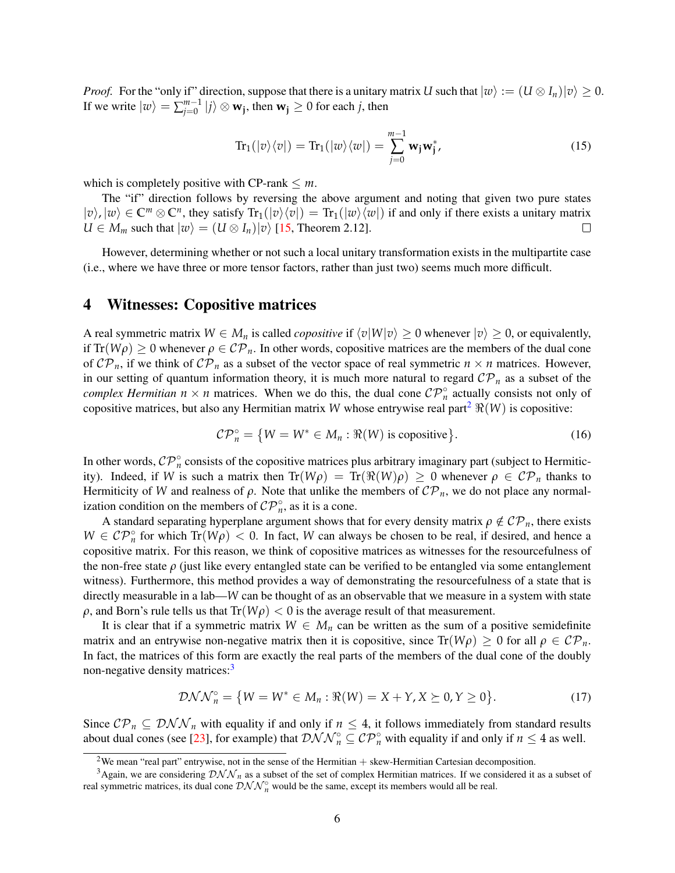*Proof.* For the "only if" direction, suppose that there is a unitary matrix *U* such that  $|w\rangle := (U \otimes I_n)|v\rangle \ge 0$ . If we write  $|w\rangle = \sum_{i=0}^{m-1}$  $\left| \begin{array}{l} m{-}1 \\ j \end{array} \right| j \rangle \otimes \mathbf{w_j},$  then  $\mathbf{w_j} \geq 0$  for each *j*, then

$$
\operatorname{Tr}_{1}(|v\rangle\langle v|) = \operatorname{Tr}_{1}(|w\rangle\langle w|) = \sum_{j=0}^{m-1} \mathbf{w}_{j} \mathbf{w}_{j}^{*},
$$
\n(15)

which is completely positive with  $CP$ -rank  $\leq m$ .

The "if" direction follows by reversing the above argument and noting that given two pure states  $|v\rangle$ ,  $|w\rangle \in \mathbb{C}^m \otimes \mathbb{C}^n$ , they satisfy  $\text{Tr}_1(|v\rangle\langle v|) = \text{Tr}_1(|w\rangle\langle w|)$  if and only if there exists a unitary matrix  $U \in M_m$  such that  $|w\rangle = (U \otimes I_n)|v\rangle$  [\[15,](#page-26-11) Theorem 2.12].  $\Box$ 

However, determining whether or not such a local unitary transformation exists in the multipartite case (i.e., where we have three or more tensor factors, rather than just two) seems much more difficult.

## <span id="page-5-0"></span>4 Witnesses: Copositive matrices

A real symmetric matrix  $W \in M_n$  is called *copositive* if  $\langle v | W | v \rangle > 0$  whenever  $|v\rangle > 0$ , or equivalently, if  $Tr(W\rho) \ge 0$  whenever  $\rho \in \mathcal{CP}_n$ . In other words, copositive matrices are the members of the dual cone of  $\mathcal{CP}_n$ , if we think of  $\mathcal{CP}_n$  as a subset of the vector space of real symmetric  $n \times n$  matrices. However, in our setting of quantum information theory, it is much more natural to regard  $\mathcal{CP}_n$  as a subset of the *complex Hermitian*  $n \times n$  matrices. When we do this, the dual cone  $\mathcal{CP}_n^{\circ}$  actually consists not only of copositive matrices, but also any Hermitian matrix *W* whose entrywise real part<sup>[2](#page-5-1)</sup>  $\Re(W)$  is copositive:

$$
\mathcal{CP}_n^{\circ} = \{ W = W^* \in M_n : \Re(W) \text{ is copositive} \}. \tag{16}
$$

In other words,  $\mathcal{CP}_n^{\circ}$  consists of the copositive matrices plus arbitrary imaginary part (subject to Hermiticity). Indeed, if *W* is such a matrix then  $Tr(W\rho) = Tr(\Re(W)\rho) \ge 0$  whenever  $\rho \in CP_n$  thanks to Hermiticity of *W* and realness of  $\rho$ . Note that unlike the members of  $\mathcal{CP}_n$ , we do not place any normalization condition on the members of  $\mathcal{CP}_n^{\circ}$ , as it is a cone.

A standard separating hyperplane argument shows that for every density matrix  $\rho \notin \mathcal{CP}_n$ , there exists  $W \in CP_n^{\circ}$  for which  $Tr(W\rho) < 0$ . In fact, *W* can always be chosen to be real, if desired, and hence a copositive matrix. For this reason, we think of copositive matrices as witnesses for the resourcefulness of the non-free state *ρ* (just like every entangled state can be verified to be entangled via some entanglement witness). Furthermore, this method provides a way of demonstrating the resourcefulness of a state that is directly measurable in a lab—*W* can be thought of as an observable that we measure in a system with state  $\rho$ , and Born's rule tells us that  $Tr(W\rho) < 0$  is the average result of that measurement.

It is clear that if a symmetric matrix  $W \in M_n$  can be written as the sum of a positive semidefinite matrix and an entrywise non-negative matrix then it is copositive, since  $Tr(W\rho) \ge 0$  for all  $\rho \in CP_n$ . In fact, the matrices of this form are exactly the real parts of the members of the dual cone of the doubly non-negative density matrices:<sup>[3](#page-5-2)</sup>

$$
\mathcal{DNN}_n^{\circ} = \{ W = W^* \in M_n : \Re(W) = X + Y, X \succeq 0, Y \ge 0 \}. \tag{17}
$$

Since  $\mathcal{CP}_n \subseteq \mathcal{DNN}_n$  with equality if and only if  $n \leq 4$ , it follows immediately from standard results about dual cones (see [\[23\]](#page-27-0), for example) that  $\mathcal{DNN}_n^{\circ} \subseteq \mathcal{CP}_n^{\circ}$  with equality if and only if  $n \leq 4$  as well.

<span id="page-5-2"></span><span id="page-5-1"></span><sup>&</sup>lt;sup>2</sup>We mean "real part" entrywise, not in the sense of the Hermitian + skew-Hermitian Cartesian decomposition.

<sup>&</sup>lt;sup>3</sup>Again, we are considering  $\mathcal{DNN}_n$  as a subset of the set of complex Hermitian matrices. If we considered it as a subset of real symmetric matrices, its dual cone  $\mathcal{DNN}_n^{\circ}$  would be the same, except its members would all be real.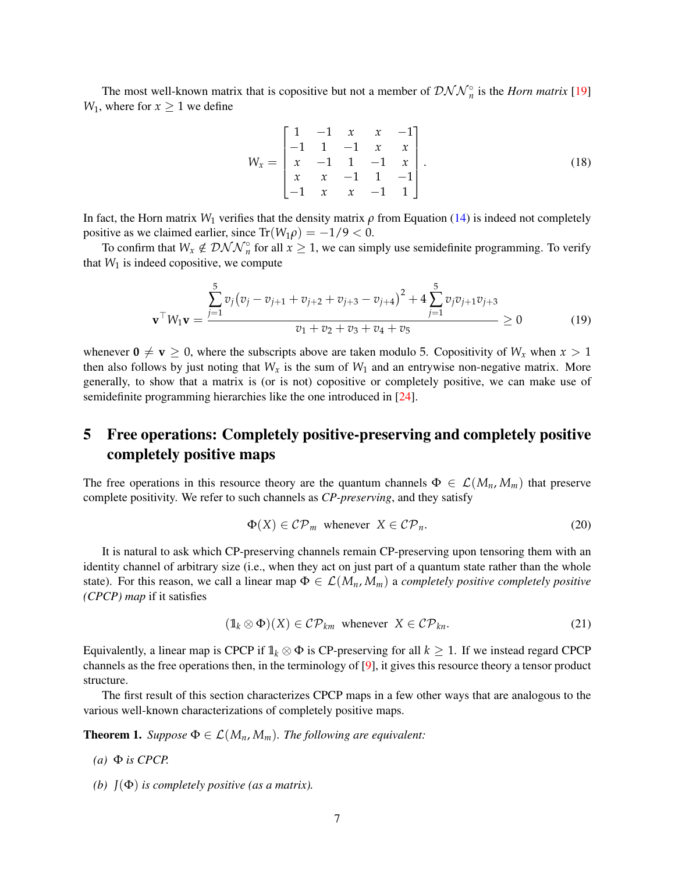The most well-known matrix that is copositive but not a member of  $\mathcal{DNN}_n^{\circ}$  is the *Horn matrix* [\[19\]](#page-26-15) *W*<sub>1</sub>, where for  $x \ge 1$  we define

<span id="page-6-2"></span>
$$
W_x = \begin{bmatrix} 1 & -1 & x & x & -1 \\ -1 & 1 & -1 & x & x \\ x & -1 & 1 & -1 & x \\ x & x & -1 & 1 & -1 \\ -1 & x & x & -1 & 1 \end{bmatrix}.
$$
 (18)

In fact, the Horn matrix  $W_1$  verifies that the density matrix  $\rho$  from Equation [\(14\)](#page-4-1) is indeed not completely positive as we claimed earlier, since  $Tr(W_1 \rho) = -1/9 < 0$ .

To confirm that  $W_x \notin \mathcal{DNN}_n^{\circ}$  for all  $x \geq 1$ , we can simply use semidefinite programming. To verify that  $W_1$  is indeed copositive, we compute

$$
\mathbf{v}^{\top} W_1 \mathbf{v} = \frac{\sum_{j=1}^{5} v_j (v_j - v_{j+1} + v_{j+2} + v_{j+3} - v_{j+4})^2 + 4 \sum_{j=1}^{5} v_j v_{j+1} v_{j+3}}{v_1 + v_2 + v_3 + v_4 + v_5} \ge 0
$$
(19)

whenever  $0 \neq v \geq 0$ , where the subscripts above are taken modulo 5. Copositivity of  $W_x$  when  $x > 1$ then also follows by just noting that  $W_x$  is the sum of  $W_1$  and an entrywise non-negative matrix. More generally, to show that a matrix is (or is not) copositive or completely positive, we can make use of semidefinite programming hierarchies like the one introduced in [\[24\]](#page-27-1).

## <span id="page-6-0"></span>5 Free operations: Completely positive-preserving and completely positive completely positive maps

The free operations in this resource theory are the quantum channels  $\Phi \in \mathcal{L}(M_n, M_m)$  that preserve complete positivity. We refer to such channels as *CP-preserving*, and they satisfy

$$
\Phi(X) \in \mathcal{CP}_m \text{ whenever } X \in \mathcal{CP}_n. \tag{20}
$$

It is natural to ask which CP-preserving channels remain CP-preserving upon tensoring them with an identity channel of arbitrary size (i.e., when they act on just part of a quantum state rather than the whole state). For this reason, we call a linear map  $\Phi \in \mathcal{L}(M_n, M_m)$  a *completely positive completely positive (CPCP) map* if it satisfies

$$
(\mathbb{1}_k \otimes \Phi)(X) \in \mathcal{CP}_{km} \text{ whenever } X \in \mathcal{CP}_{kn}.
$$
 (21)

Equivalently, a linear map is CPCP if  $\mathbb{1}_k \otimes \Phi$  is CP-preserving for all  $k \geq 1$ . If we instead regard CPCP channels as the free operations then, in the terminology of [\[9\]](#page-26-5), it gives this resource theory a tensor product structure.

The first result of this section characterizes CPCP maps in a few other ways that are analogous to the various well-known characterizations of completely positive maps.

<span id="page-6-1"></span>**Theorem 1.** *Suppose*  $\Phi \in \mathcal{L}(M_n, M_m)$ *. The following are equivalent:* 

- $(a)$   $\Phi$  *is CPCP.*
- *(b) J*(Φ) *is completely positive (as a matrix).*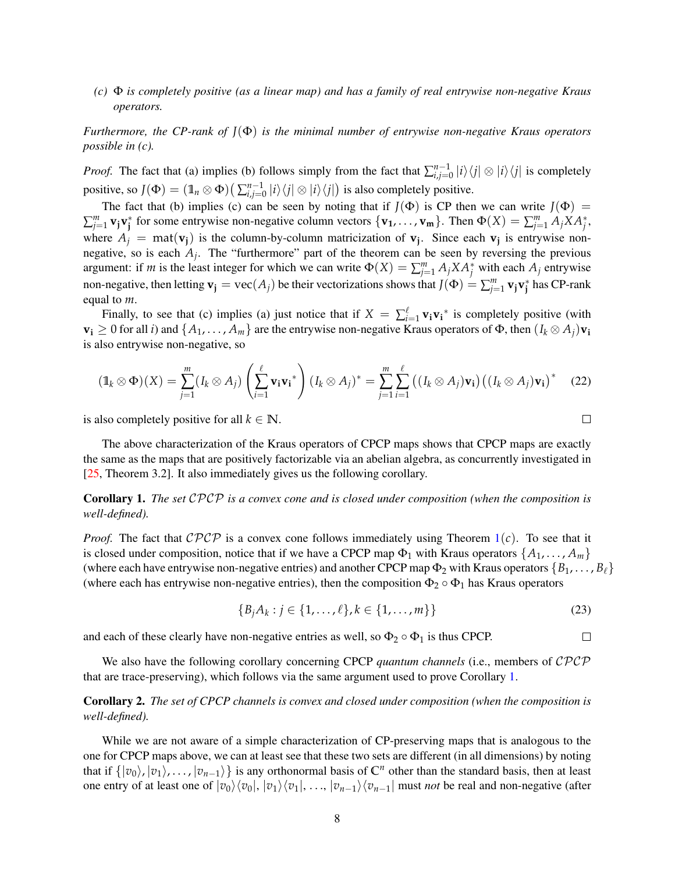*(c)* Φ *is completely positive (as a linear map) and has a family of real entrywise non-negative Kraus operators.*

*Furthermore, the CP-rank of J*(Φ) *is the minimal number of entrywise non-negative Kraus operators possible in (c).*

*Proof.* The fact that (a) implies (b) follows simply from the fact that  $\sum_{i,j=0}^{n-1}$  $\sum_{i,j=0}^{n-1} |i\rangle\langle j| \otimes |i\rangle\langle j|$  is completely positive, so  $J(\Phi) = (\mathbb{1}_n \otimes \Phi) \left( \sum_{i,j=0}^{n-1} \right)$  $\int_{i,j=0}^{n-1} |i\rangle\langle j| \otimes |i\rangle\langle j|$  is also completely positive.

The fact that (b) implies (c) can be seen by noting that if  $J(\Phi)$  is CP then we can write  $J(\Phi)$  =  $\sum_{j=1}^m$  **v**<sub>j</sub>**v**<sub>j</sub><sup>\*</sup> for some entrywise non-negative column vectors  $\{v_1, \ldots, v_m\}$ . Then  $\Phi(X) = \sum_{j=1}^m A_j X A_j^*$ , where  $A_j$  = mat( $v_j$ ) is the column-by-column matricization of  $v_j$ . Since each  $v_j$  is entrywise nonnegative, so is each  $A_j$ . The "furthermore" part of the theorem can be seen by reversing the previous argument: if *m* is the least integer for which we can write  $\Phi(X) = \sum_{j=1}^{m} A_j X A_j^*$  with each  $A_j$  entrywise non-negative, then letting  $\mathbf{v}_j = \text{vec}(A_j)$  be their vectorizations shows that  $J(\Phi) = \sum_{j=1}^m \mathbf{v}_j \mathbf{v}_j^*$  has CP-rank equal to *m*.

Finally, to see that (c) implies (a) just notice that if  $X = \sum_{i=1}^{\ell} \mathbf{v}_i \mathbf{v}_i^*$  is completely positive (with  $\mathbf{v_i} \geq 0$  for all *i*) and  $\{A_1, \ldots, A_m\}$  are the entrywise non-negative Kraus operators of  $\Phi$ , then  $(I_k \otimes A_i)\mathbf{v_i}$ is also entrywise non-negative, so

$$
(\mathbb{1}_k \otimes \Phi)(X) = \sum_{j=1}^m (I_k \otimes A_j) \left( \sum_{i=1}^\ell \mathbf{v}_i \mathbf{v}_i^* \right) (I_k \otimes A_j)^* = \sum_{j=1}^m \sum_{i=1}^\ell \left( (I_k \otimes A_j) \mathbf{v}_i \right) \left( (I_k \otimes A_j) \mathbf{v}_i \right)^* \tag{22}
$$

is also completely positive for all  $k \in \mathbb{N}$ .

The above characterization of the Kraus operators of CPCP maps shows that CPCP maps are exactly the same as the maps that are positively factorizable via an abelian algebra, as concurrently investigated in [\[25,](#page-27-2) Theorem 3.2]. It also immediately gives us the following corollary.

<span id="page-7-0"></span>Corollary 1. *The set* CPCP *is a convex cone and is closed under composition (when the composition is well-defined).*

*Proof.* The fact that  $\mathcal{CPCP}$  is a convex cone follows immediately using Theorem  $1(c)$  $1(c)$ . To see that it is closed under composition, notice that if we have a CPCP map  $\Phi_1$  with Kraus operators  $\{A_1, \ldots, A_m\}$ (where each have entrywise non-negative entries) and another CPCP map  $\Phi_2$  with Kraus operators  $\{B_1, \ldots, B_\ell\}$ (where each has entrywise non-negative entries), then the composition  $\Phi_2 \circ \Phi_1$  has Kraus operators

$$
\{B_j A_k : j \in \{1, ..., \ell\}, k \in \{1, ..., m\}\}\
$$
 (23)

and each of these clearly have non-negative entries as well, so  $\Phi_2 \circ \Phi_1$  is thus CPCP.  $\Box$ 

We also have the following corollary concerning CPCP *quantum channels* (i.e., members of CPCP that are trace-preserving), which follows via the same argument used to prove Corollary [1.](#page-7-0)

<span id="page-7-1"></span>Corollary 2. *The set of CPCP channels is convex and closed under composition (when the composition is well-defined).*

While we are not aware of a simple characterization of CP-preserving maps that is analogous to the one for CPCP maps above, we can at least see that these two sets are different (in all dimensions) by noting that if  $\{|v_0\rangle, |v_1\rangle, \ldots, |v_{n-1}\rangle\}$  is any orthonormal basis of  $\mathbb{C}^n$  other than the standard basis, then at least one entry of at least one of  $|v_0\rangle\langle v_0|, |v_1\rangle\langle v_1|, \ldots, |v_{n-1}\rangle\langle v_{n-1}|$  must *not* be real and non-negative (after

 $\Box$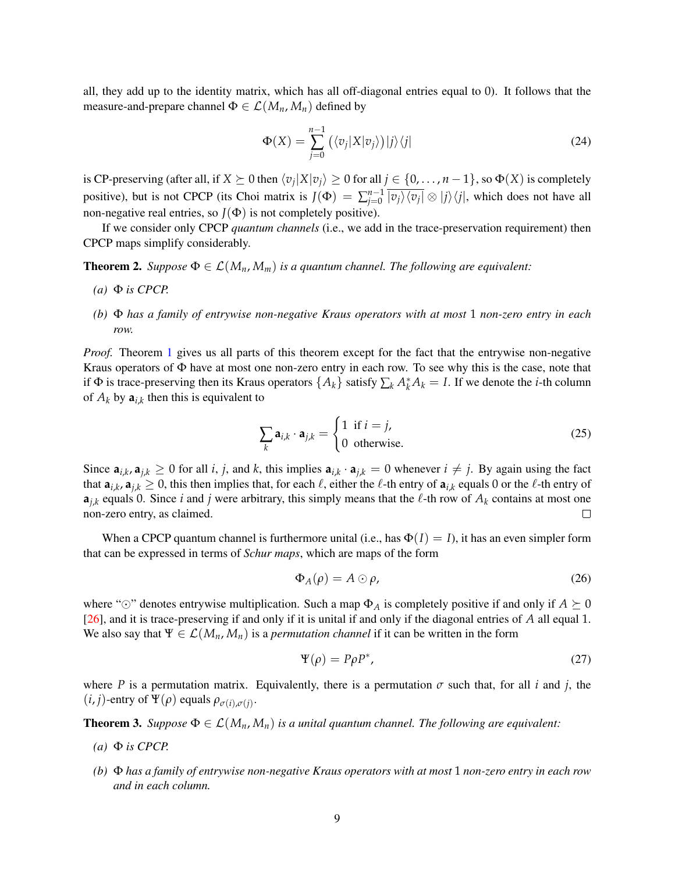all, they add up to the identity matrix, which has all off-diagonal entries equal to 0). It follows that the measure-and-prepare channel  $\Phi \in \mathcal{L}(M_n, M_n)$  defined by

$$
\Phi(X) = \sum_{j=0}^{n-1} \left( \langle v_j | X | v_j \rangle \right) |j\rangle \langle j| \tag{24}
$$

is CP-preserving (after all, if  $X \succeq 0$  then  $\langle v_j | X | v_j \rangle \ge 0$  for all  $j \in \{0, \ldots, n-1\}$ , so  $\Phi(X)$  is completely positive), but is not CPCP (its Choi matrix is  $J(\Phi) = \sum_{i=0}^{n-1}$  $\int_{j=0}^{n-1} |v_j\rangle \langle v_j| \otimes |j\rangle \langle j|$ , which does not have all non-negative real entries, so  $J(\Phi)$  is not completely positive).

If we consider only CPCP *quantum channels* (i.e., we add in the trace-preservation requirement) then CPCP maps simplify considerably.

<span id="page-8-0"></span>**Theorem 2.** *Suppose*  $\Phi \in \mathcal{L}(M_n, M_m)$  *is a quantum channel. The following are equivalent:* 

- $(a)$   $\Phi$  *is CPCP.*
- *(b)* Φ *has a family of entrywise non-negative Kraus operators with at most* 1 *non-zero entry in each row.*

*Proof.* Theorem [1](#page-6-1) gives us all parts of this theorem except for the fact that the entrywise non-negative Kraus operators of Φ have at most one non-zero entry in each row. To see why this is the case, note that if  $\Phi$  is trace-preserving then its Kraus operators  $\{A_k\}$  satisfy  $\sum_k A_k^* A_k = I$ . If we denote the *i*-th column of  $A_k$  by  $a_{i,k}$  then this is equivalent to

$$
\sum_{k} \mathbf{a}_{i,k} \cdot \mathbf{a}_{j,k} = \begin{cases} 1 & \text{if } i = j, \\ 0 & \text{otherwise.} \end{cases}
$$
 (25)

Since  $a_{i,k}$ ,  $a_{j,k} \ge 0$  for all i, j, and k, this implies  $a_{i,k} \cdot a_{j,k} = 0$  whenever  $i \ne j$ . By again using the fact that  $a_{i,k}$ ,  $a_{j,k} \ge 0$ , this then implies that, for each  $\ell$ , either the  $\ell$ -th entry of  $a_{i,k}$  equals 0 or the  $\ell$ -th entry of  $a_{j,k}$  equals 0. Since *i* and *j* were arbitrary, this simply means that the  $\ell$ -th row of  $A_k$  contains at most one non-zero entry, as claimed.  $\Box$ 

When a CPCP quantum channel is furthermore unital (i.e., has  $\Phi(I) = I$ ), it has an even simpler form that can be expressed in terms of *Schur maps*, which are maps of the form

$$
\Phi_A(\rho) = A \odot \rho,\tag{26}
$$

where " $\odot$ " denotes entrywise multiplication. Such a map  $\Phi_A$  is completely positive if and only if  $A \succeq 0$ [\[26\]](#page-27-3), and it is trace-preserving if and only if it is unital if and only if the diagonal entries of *A* all equal 1. We also say that  $\Psi \in \mathcal{L}(M_n, M_n)$  is a *permutation channel* if it can be written in the form

$$
\Psi(\rho) = P\rho P^*,\tag{27}
$$

where *P* is a permutation matrix. Equivalently, there is a permutation  $\sigma$  such that, for all *i* and *j*, the  $(i, j)$ -entry of  $\Psi(\rho)$  equals  $\rho_{\sigma(i), \sigma(j)}$ .

<span id="page-8-1"></span>**Theorem 3.** *Suppose*  $\Phi \in \mathcal{L}(M_n, M_n)$  *is a unital quantum channel. The following are equivalent:* 

- $(a)$   $\Phi$  *is CPCP.*
- *(b)* Φ *has a family of entrywise non-negative Kraus operators with at most* 1 *non-zero entry in each row and in each column.*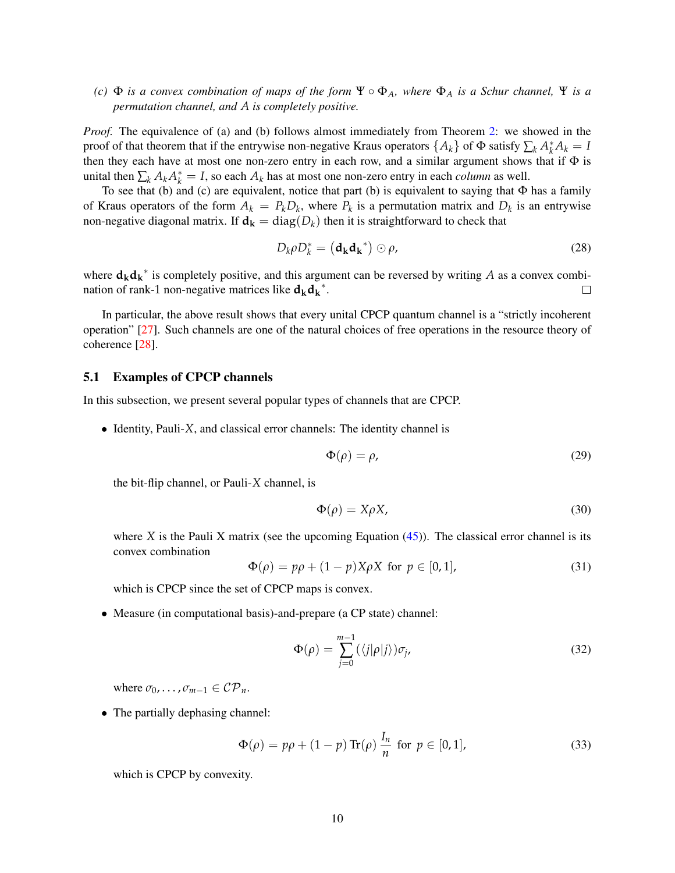## *(c)*  $\Phi$  *is a convex combination of maps of the form*  $\Psi \circ \Phi_A$ *, where*  $\Phi_A$  *is a Schur channel*,  $\Psi$  *is a permutation channel, and A is completely positive.*

*Proof.* The equivalence of (a) and (b) follows almost immediately from Theorem [2:](#page-8-0) we showed in the proof of that theorem that if the entrywise non-negative Kraus operators  $\{A_k\}$  of  $\Phi$  satisfy  $\sum_k A_k^* A_k = I$ then they each have at most one non-zero entry in each row, and a similar argument shows that if  $\Phi$  is unital then  $\sum_k A_k A_k^* = I$ , so each  $A_k$  has at most one non-zero entry in each *column* as well.

To see that (b) and (c) are equivalent, notice that part (b) is equivalent to saying that  $\Phi$  has a family of Kraus operators of the form  $A_k = P_k D_k$ , where  $P_k$  is a permutation matrix and  $D_k$  is an entrywise non-negative diagonal matrix. If  $\mathbf{d}_k = \text{diag}(D_k)$  then it is straightforward to check that

$$
D_k \rho D_k^* = \left(\mathbf{d_k} \mathbf{d_k}^*\right) \odot \rho,\tag{28}
$$

where  $\mathbf{d}_{\mathbf{k}}\mathbf{d}_{\mathbf{k}}^*$  is completely positive, and this argument can be reversed by writing *A* as a convex combination of rank-1 non-negative matrices like  $d_k d_k^*$ .  $\Box$ 

In particular, the above result shows that every unital CPCP quantum channel is a "strictly incoherent operation" [\[27\]](#page-27-4). Such channels are one of the natural choices of free operations in the resource theory of coherence [\[28\]](#page-27-5).

#### 5.1 Examples of CPCP channels

In this subsection, we present several popular types of channels that are CPCP.

• Identity, Pauli-*X*, and classical error channels: The identity channel is

$$
\Phi(\rho) = \rho,\tag{29}
$$

the bit-flip channel, or Pauli-*X* channel, is

$$
\Phi(\rho) = X\rho X,\tag{30}
$$

where *X* is the Pauli *X* matrix (see the upcoming Equation  $(45)$ ). The classical error channel is its convex combination

$$
\Phi(\rho) = p\rho + (1 - p)X\rho X \text{ for } p \in [0, 1],
$$
\n(31)

which is CPCP since the set of CPCP maps is convex.

• Measure (in computational basis)-and-prepare (a CP state) channel:

$$
\Phi(\rho) = \sum_{j=0}^{m-1} (\langle j|\rho|j\rangle)\sigma_j,\tag{32}
$$

where  $\sigma_0$ , ...,  $\sigma_{m-1} \in \mathcal{CP}_n$ .

• The partially dephasing channel:

$$
\Phi(\rho) = p\rho + (1 - p) \operatorname{Tr}(\rho) \frac{I_n}{n} \text{ for } p \in [0, 1],
$$
 (33)

which is CPCP by convexity.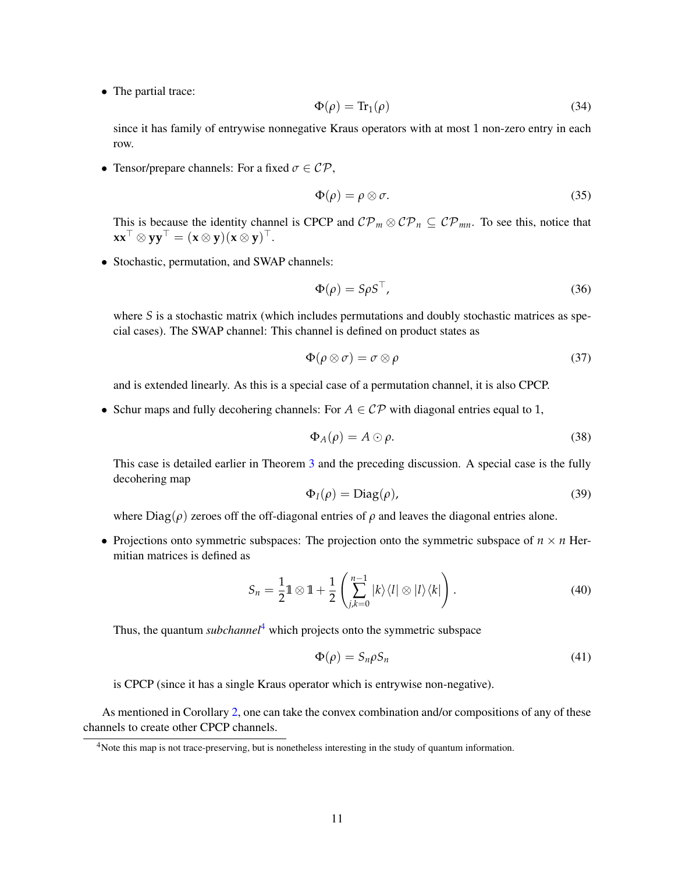• The partial trace:

$$
\Phi(\rho) = \text{Tr}_1(\rho) \tag{34}
$$

since it has family of entrywise nonnegative Kraus operators with at most 1 non-zero entry in each row.

• Tensor/prepare channels: For a fixed  $\sigma \in \mathcal{CP}$ ,

$$
\Phi(\rho) = \rho \otimes \sigma. \tag{35}
$$

This is because the identity channel is CPCP and  $\mathcal{CP}_m \otimes \mathcal{CP}_n \subseteq \mathcal{CP}_{mn}$ . To see this, notice that  $\mathbf{x} \mathbf{x}^\top \otimes \mathbf{y} \mathbf{y}^\top = (\mathbf{x} \otimes \mathbf{y})(\mathbf{x} \otimes \mathbf{y})^\top.$ 

• Stochastic, permutation, and SWAP channels:

$$
\Phi(\rho) = S\rho S^{\top},\tag{36}
$$

where *S* is a stochastic matrix (which includes permutations and doubly stochastic matrices as special cases). The SWAP channel: This channel is defined on product states as

$$
\Phi(\rho \otimes \sigma) = \sigma \otimes \rho \tag{37}
$$

and is extended linearly. As this is a special case of a permutation channel, it is also CPCP.

• Schur maps and fully decohering channels: For  $A \in \mathcal{CP}$  with diagonal entries equal to 1,

$$
\Phi_A(\rho) = A \odot \rho. \tag{38}
$$

This case is detailed earlier in Theorem [3](#page-8-1) and the preceding discussion. A special case is the fully decohering map

$$
\Phi_I(\rho) = \text{Diag}(\rho),\tag{39}
$$

where  $Diag(\rho)$  zeroes off the off-diagonal entries of  $\rho$  and leaves the diagonal entries alone.

• Projections onto symmetric subspaces: The projection onto the symmetric subspace of  $n \times n$  Hermitian matrices is defined as

$$
S_n = \frac{1}{2} \mathbb{1} \otimes \mathbb{1} + \frac{1}{2} \left( \sum_{j,k=0}^{n-1} |k\rangle\langle l| \otimes |l\rangle\langle k| \right). \tag{40}
$$

Thus, the quantum *subchannel*<sup>[4](#page-10-0)</sup> which projects onto the symmetric subspace

$$
\Phi(\rho) = S_n \rho S_n \tag{41}
$$

is CPCP (since it has a single Kraus operator which is entrywise non-negative).

As mentioned in Corollary [2,](#page-7-1) one can take the convex combination and/or compositions of any of these channels to create other CPCP channels.

<span id="page-10-0"></span> $4$ Note this map is not trace-preserving, but is nonetheless interesting in the study of quantum information.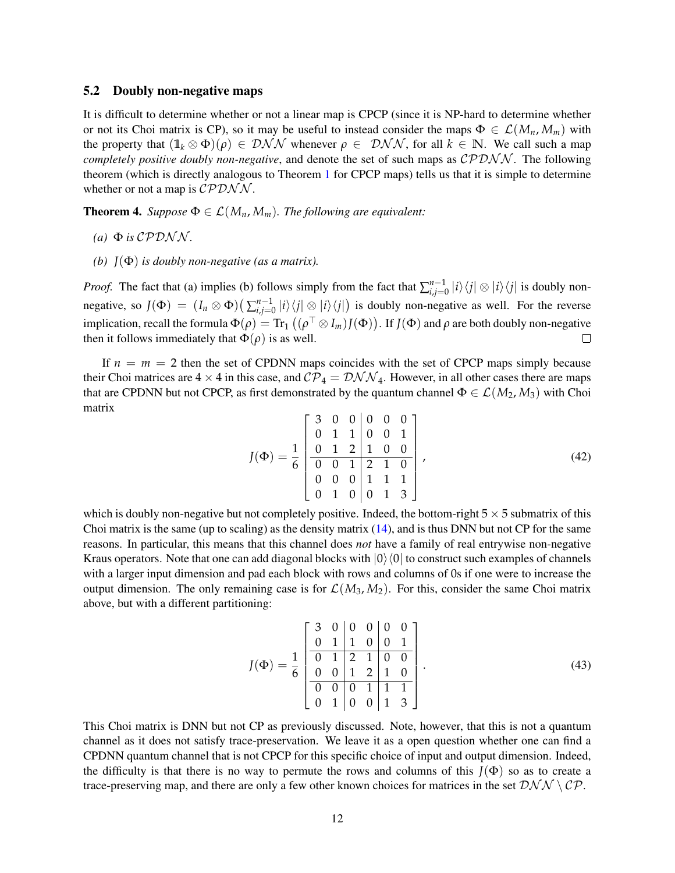#### 5.2 Doubly non-negative maps

It is difficult to determine whether or not a linear map is CPCP (since it is NP-hard to determine whether or not its Choi matrix is CP), so it may be useful to instead consider the maps  $\Phi \in \mathcal{L}(M_n, M_m)$  with the property that  $(1\mathbf{l}_k \otimes \Phi)(\rho) \in \mathcal{DNN}$  whenever  $\rho \in \mathcal{DNN}$ , for all  $k \in \mathbb{N}$ . We call such a map *completely positive doubly non-negative*, and denote the set of such maps as CPDNN. The following theorem (which is directly analogous to Theorem [1](#page-6-1) for CPCP maps) tells us that it is simple to determine whether or not a map is  $\mathcal{CPDN}N$ .

<span id="page-11-0"></span>**Theorem 4.** *Suppose*  $\Phi \in \mathcal{L}(M_n, M_m)$ *. The following are equivalent:* 

- $(a)$   $\Phi$  *is* CPDNN.
- *(b) J*(Φ) *is doubly non-negative (as a matrix).*

*Proof.* The fact that (a) implies (b) follows simply from the fact that  $\sum_{i,j=1}^{n-1}$  $\prod_{i,j=0}^{n-1}|i\rangle\langle j|\otimes|i\rangle\langle j|$  is doubly nonnegative, so  $J(\Phi) = (I_n \otimes \Phi) \left( \sum_{i,j=1}^{n-1} \mathcal{L}^{\Phi} \right)$  $\int_{i,j=0}^{n-1} |i\rangle\langle j| \otimes |i\rangle\langle j|$  is doubly non-negative as well. For the reverse implication, recall the formula  $\Phi(\rho)=\text{Tr}_1\left((\rho^\top\otimes I_m)J(\Phi)\right)$ . If  $J(\Phi)$  and  $\rho$  are both doubly non-negative then it follows immediately that  $\Phi(\rho)$  is as well.  $\Box$ 

If  $n = m = 2$  then the set of CPDNN maps coincides with the set of CPCP maps simply because their Choi matrices are  $4 \times 4$  in this case, and  $\mathcal{CP}_4 = \mathcal{DNN}_4$ . However, in all other cases there are maps that are CPDNN but not CPCP, as first demonstrated by the quantum channel  $\Phi \in \mathcal{L}(M_2, M_3)$  with Choi matrix

$$
J(\Phi) = \frac{1}{6} \begin{bmatrix} 3 & 0 & 0 & 0 & 0 & 0 \\ 0 & 1 & 1 & 0 & 0 & 1 \\ 0 & 1 & 2 & 1 & 0 & 0 \\ 0 & 0 & 1 & 2 & 1 & 0 \\ 0 & 0 & 0 & 1 & 1 & 1 \\ 0 & 1 & 0 & 0 & 1 & 3 \end{bmatrix},
$$
(42)

which is doubly non-negative but not completely positive. Indeed, the bottom-right  $5 \times 5$  submatrix of this Choi matrix is the same (up to scaling) as the density matrix  $(14)$ , and is thus DNN but not CP for the same reasons. In particular, this means that this channel does *not* have a family of real entrywise non-negative Kraus operators. Note that one can add diagonal blocks with  $|0\rangle\langle0|$  to construct such examples of channels with a larger input dimension and pad each block with rows and columns of 0s if one were to increase the output dimension. The only remaining case is for  $\mathcal{L}(M_3, M_2)$ . For this, consider the same Choi matrix above, but with a different partitioning:

$$
J(\Phi) = \frac{1}{6} \begin{bmatrix} 3 & 0 & 0 & 0 & 0 & 0 \\ 0 & 1 & 1 & 0 & 0 & 1 \\ \hline 0 & 1 & 2 & 1 & 0 & 0 \\ 0 & 0 & 1 & 2 & 1 & 0 \\ \hline 0 & 0 & 0 & 1 & 1 & 1 \\ 0 & 1 & 0 & 0 & 1 & 3 \end{bmatrix} . \tag{43}
$$

This Choi matrix is DNN but not CP as previously discussed. Note, however, that this is not a quantum channel as it does not satisfy trace-preservation. We leave it as a open question whether one can find a CPDNN quantum channel that is not CPCP for this specific choice of input and output dimension. Indeed, the difficulty is that there is no way to permute the rows and columns of this  $J(\Phi)$  so as to create a trace-preserving map, and there are only a few other known choices for matrices in the set  $\mathcal{DNN} \setminus \mathcal{CP}$ .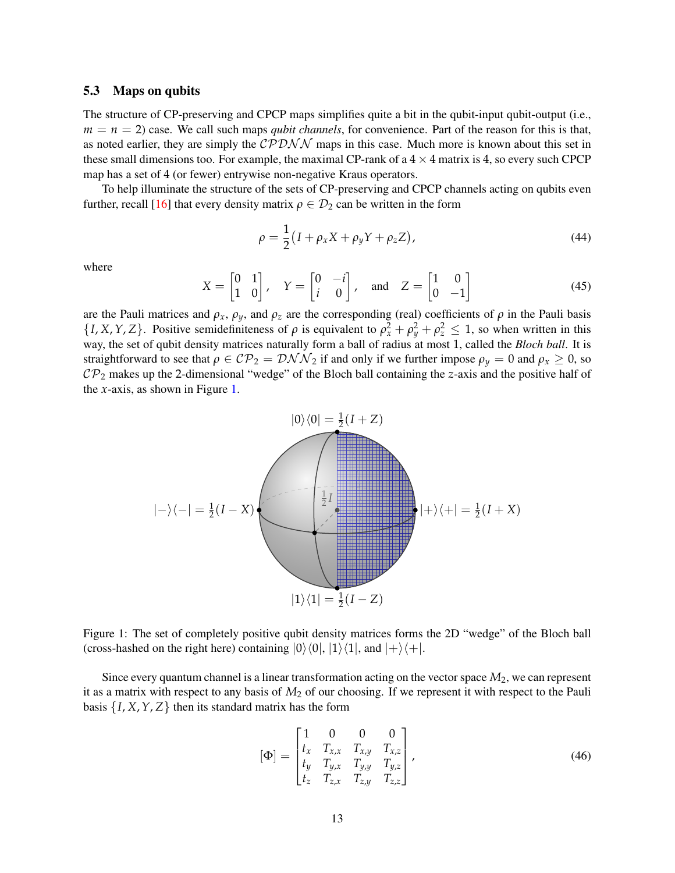#### 5.3 Maps on qubits

The structure of CP-preserving and CPCP maps simplifies quite a bit in the qubit-input qubit-output (i.e.,  $m = n = 2$ ) case. We call such maps *qubit channels*, for convenience. Part of the reason for this is that, as noted earlier, they are simply the  $\mathcal{CPDNN}$  maps in this case. Much more is known about this set in these small dimensions too. For example, the maximal CP-rank of a  $4 \times 4$  matrix is 4, so every such CPCP map has a set of 4 (or fewer) entrywise non-negative Kraus operators.

To help illuminate the structure of the sets of CP-preserving and CPCP channels acting on qubits even further, recall [\[16\]](#page-26-12) that every density matrix  $\rho \in \mathcal{D}_2$  can be written in the form

$$
\rho = \frac{1}{2} (I + \rho_x X + \rho_y Y + \rho_z Z), \qquad (44)
$$

where

<span id="page-12-0"></span>
$$
X = \begin{bmatrix} 0 & 1 \\ 1 & 0 \end{bmatrix}, \quad Y = \begin{bmatrix} 0 & -i \\ i & 0 \end{bmatrix}, \quad \text{and} \quad Z = \begin{bmatrix} 1 & 0 \\ 0 & -1 \end{bmatrix}
$$
 (45)

are the Pauli matrices and  $\rho_x$ ,  $\rho_y$ , and  $\rho_z$  are the corresponding (real) coefficients of  $\rho$  in the Pauli basis  $\{I, X, Y, Z\}$ . Positive semidefiniteness of  $\rho$  is equivalent to  $\rho_x^2 + \rho_y^2 + \rho_z^2 \leq 1$ , so when written in this way, the set of qubit density matrices naturally form a ball of radius at most 1, called the *Bloch ball*. It is straightforward to see that  $\rho \in CP_2 = \mathcal{DNN}_2$  if and only if we further impose  $\rho_y = 0$  and  $\rho_x \ge 0$ , so  $\mathcal{CP}_2$  makes up the 2-dimensional "wedge" of the Bloch ball containing the *z*-axis and the positive half of the *x*-axis, as shown in Figure [1.](#page-12-1)



<span id="page-12-1"></span>Figure 1: The set of completely positive qubit density matrices forms the 2D "wedge" of the Bloch ball (cross-hashed on the right here) containing  $|0\rangle\langle0|, |1\rangle\langle1|$ , and  $|+\rangle\langle+|$ .

Since every quantum channel is a linear transformation acting on the vector space *M*2, we can represent it as a matrix with respect to any basis of *M*<sup>2</sup> of our choosing. If we represent it with respect to the Pauli basis  $\{I, X, Y, Z\}$  then its standard matrix has the form

<span id="page-12-2"></span>
$$
\begin{bmatrix} \Phi \end{bmatrix} = \begin{bmatrix} 1 & 0 & 0 & 0 \\ t_x & T_{x,x} & T_{x,y} & T_{x,z} \\ t_y & T_{y,x} & T_{y,y} & T_{y,z} \\ t_z & T_{z,x} & T_{z,y} & T_{z,z} \end{bmatrix},
$$
\n(46)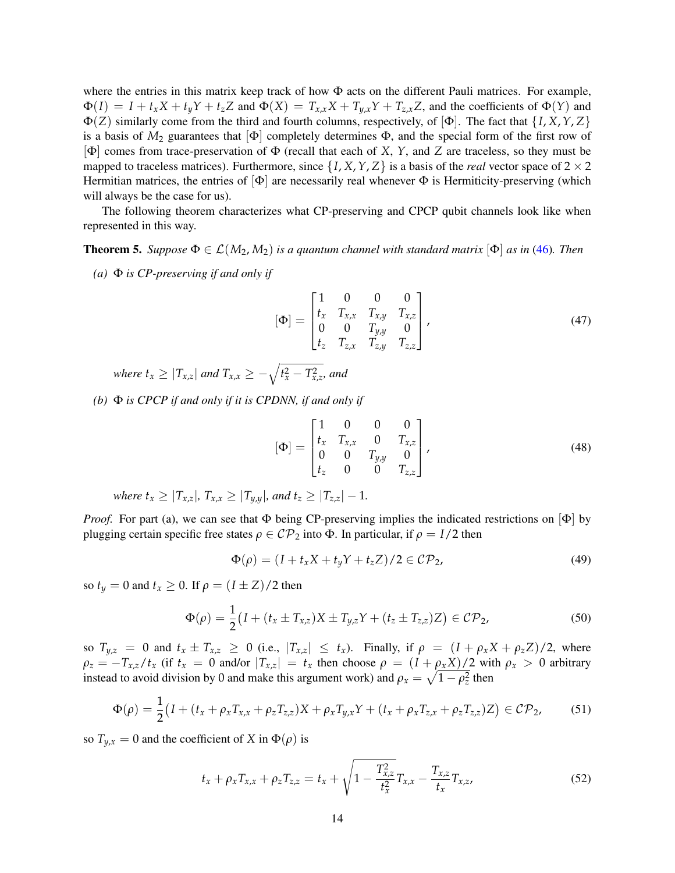where the entries in this matrix keep track of how  $\Phi$  acts on the different Pauli matrices. For example,  $\Phi(I) = I + t_x X + t_y Y + t_z Z$  and  $\Phi(X) = T_{x,x} X + T_{y,x} Y + T_{z,x} Z$ , and the coefficients of  $\Phi(Y)$  and Φ(*Z*) similarly come from the third and fourth columns, respectively, of [Φ]. The fact that {*I*, *X*,*Y*, *Z*} is a basis of  $M_2$  guarantees that  $|\Phi|$  completely determines  $\Phi$ , and the special form of the first row of [Φ] comes from trace-preservation of Φ (recall that each of *X*, *Y*, and *Z* are traceless, so they must be mapped to traceless matrices). Furthermore, since  $\{I, X, Y, Z\}$  is a basis of the *real* vector space of  $2 \times 2$ Hermitian matrices, the entries of  $[\Phi]$  are necessarily real whenever  $\Phi$  is Hermiticity-preserving (which will always be the case for us).

The following theorem characterizes what CP-preserving and CPCP qubit channels look like when represented in this way.

<span id="page-13-0"></span>**Theorem 5.** *Suppose*  $\Phi \in \mathcal{L}(M_2, M_2)$  *is a quantum channel with standard matrix*  $[\Phi]$  *as in* [\(46\)](#page-12-2)*. Then* 

*(a)* Φ *is CP-preserving if and only if*

$$
\begin{bmatrix} \Phi \end{bmatrix} = \begin{bmatrix} 1 & 0 & 0 & 0 \\ t_x & T_{x,x} & T_{x,y} & T_{x,z} \\ 0 & 0 & T_{y,y} & 0 \\ t_z & T_{z,x} & T_{z,y} & T_{z,z} \end{bmatrix},
$$
(47)

*where*  $t_x \ge |T_{x,z}|$  *and*  $T_{x,x} \ge -\sqrt{t_x^2 - T_{x,z}^2}$ *, and* 

*(b)* Φ *is CPCP if and only if it is CPDNN, if and only if*

$$
[\Phi] = \begin{bmatrix} 1 & 0 & 0 & 0 \\ t_x & T_{x,x} & 0 & T_{x,z} \\ 0 & 0 & T_{y,y} & 0 \\ t_z & 0 & 0 & T_{z,z} \end{bmatrix},
$$
(48)

*where*  $t_x \geq |T_{x,z}|$ ,  $T_{x,x} \geq |T_{y,y}|$ , and  $t_z \geq |T_{z,z}| - 1$ .

*Proof.* For part (a), we can see that  $\Phi$  being CP-preserving implies the indicated restrictions on  $[\Phi]$  by plugging certain specific free states  $ρ ∈ CP_2$  into  $Φ$ . In particular, if  $ρ = I/2$  then

$$
\Phi(\rho) = (I + t_x X + t_y Y + t_z Z)/2 \in \mathcal{CP}_2,\tag{49}
$$

so  $t_y = 0$  and  $t_x \ge 0$ . If  $\rho = (I \pm Z)/2$  then

$$
\Phi(\rho) = \frac{1}{2} \big( I + (t_x \pm T_{x,z}) X \pm T_{y,z} Y + (t_z \pm T_{z,z}) Z \big) \in \mathcal{CP}_2,
$$
\n(50)

so  $T_{y,z} = 0$  and  $t_x \pm T_{x,z} \ge 0$  (i.e.,  $|T_{x,z}| \le t_x$ ). Finally, if  $\rho = (I + \rho_x X + \rho_z Z)/2$ , where  $\rho_z = -T_{x,z}/t_x$  (if  $t_x = 0$  and/or  $|T_{x,z}| = t_x$  then choose  $\rho = (I + \rho_x X)/2$  with  $\rho_x > 0$  arbitrary instead to avoid division by 0 and make this argument work) and  $\rho_x = \sqrt{1 - \rho_z^2}$  then

$$
\Phi(\rho) = \frac{1}{2} \big( I + (t_x + \rho_x T_{x,x} + \rho_z T_{z,z}) X + \rho_x T_{y,x} Y + (t_x + \rho_x T_{z,x} + \rho_z T_{z,z}) Z \big) \in \mathcal{CP}_2,\tag{51}
$$

so  $T_{y,x} = 0$  and the coefficient of *X* in  $\Phi(\rho)$  is

$$
t_x + \rho_x T_{x,x} + \rho_z T_{z,z} = t_x + \sqrt{1 - \frac{T_{x,z}^2}{t_x^2}} T_{x,x} - \frac{T_{x,z}}{t_x} T_{x,z},
$$
(52)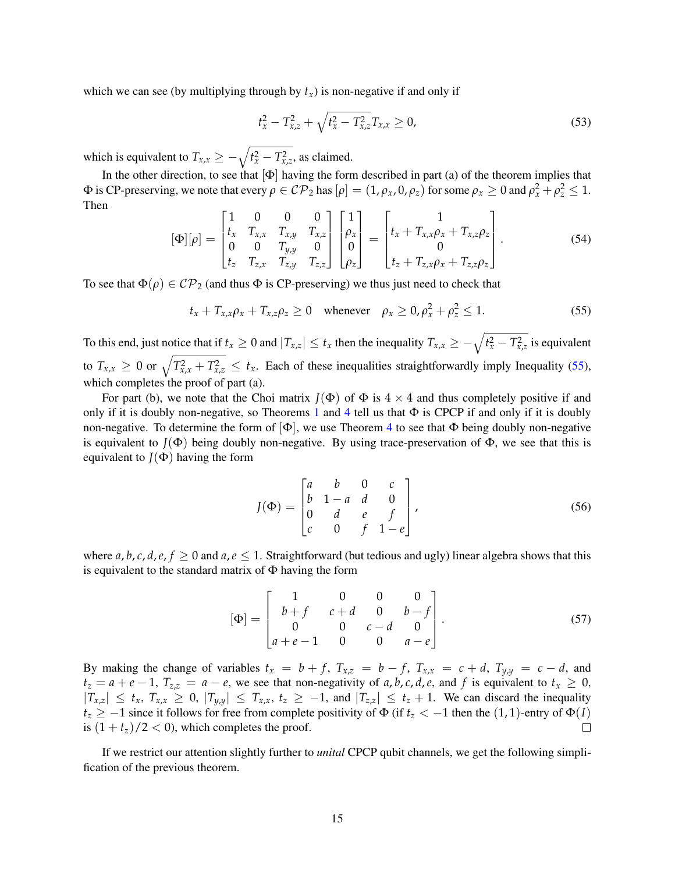which we can see (by multiplying through by  $t<sub>x</sub>$ ) is non-negative if and only if

$$
t_x^2 - T_{x,z}^2 + \sqrt{t_x^2 - T_{x,z}^2} T_{x,x} \ge 0,
$$
\n(53)

which is equivalent to  $T_{x,x} \ge -\sqrt{t_x^2 - T_{x,z}^2}$ , as claimed.

In the other direction, to see that  $[\Phi]$  having the form described in part (a) of the theorem implies that  $\Phi$  is CP-preserving, we note that every  $\rho \in CP_2$  has  $[\rho] = (1, \rho_x, 0, \rho_z)$  for some  $\rho_x \ge 0$  and  $\rho_x^2 + \rho_z^2 \le 1$ . Then

$$
[\Phi][\rho] = \begin{bmatrix} 1 & 0 & 0 & 0 \\ t_x & T_{x,x} & T_{x,y} & T_{x,z} \\ 0 & 0 & T_{y,y} & 0 \\ t_z & T_{z,x} & T_{z,y} & T_{z,z} \end{bmatrix} \begin{bmatrix} 1 \\ \rho_x \\ 0 \\ \rho_z \end{bmatrix} = \begin{bmatrix} 1 \\ t_x + T_{x,x}\rho_x + T_{x,z}\rho_z \\ 0 \\ t_z + T_{z,x}\rho_x + T_{z,z}\rho_z \end{bmatrix} .
$$
 (54)

To see that  $\Phi(\rho) \in \mathcal{CP}_2$  (and thus  $\Phi$  is CP-preserving) we thus just need to check that

$$
t_x + T_{x,x}\rho_x + T_{x,z}\rho_z \ge 0 \quad \text{whenever} \quad \rho_x \ge 0, \rho_x^2 + \rho_z^2 \le 1. \tag{55}
$$

To this end, just notice that if  $t_x \geq 0$  and  $|T_{x,z}| \leq t_x$  then the inequality  $T_{x,x} \geq -\sqrt{t_x^2 - T_{x,z}^2}$  is equivalent to  $T_{x,x} \geq 0$  or  $\sqrt{T_{x,x}^2 + T_{x,z}^2} \leq t_x$ . Each of these inequalities straightforwardly imply Inequality [\(55\)](#page-14-0), which completes the proof of part (a).

For part (b), we note that the Choi matrix  $J(\Phi)$  of  $\Phi$  is  $4 \times 4$  and thus completely positive if and only if it is doubly non-negative, so Theorems [1](#page-6-1) and [4](#page-11-0) tell us that  $\Phi$  is CPCP if and only if it is doubly non-negative. To determine the form of  $[\Phi]$ , we use Theorem [4](#page-11-0) to see that  $\Phi$  being doubly non-negative is equivalent to  $J(\Phi)$  being doubly non-negative. By using trace-preservation of  $\Phi$ , we see that this is equivalent to  $J(\Phi)$  having the form

<span id="page-14-0"></span>
$$
J(\Phi) = \begin{bmatrix} a & b & 0 & c \\ b & 1 - a & d & 0 \\ 0 & d & e & f \\ c & 0 & f & 1 - e \end{bmatrix},
$$
(56)

where *a*, *b*, *c*, *d*, *e*, *f*  $\geq$  0 and *a*, *e*  $\leq$  1. Straightforward (but tedious and ugly) linear algebra shows that this is equivalent to the standard matrix of  $\Phi$  having the form

$$
[\Phi] = \begin{bmatrix} 1 & 0 & 0 & 0 \\ b+f & c+d & 0 & b-f \\ 0 & 0 & c-d & 0 \\ a+e-1 & 0 & 0 & a-e \end{bmatrix}.
$$
 (57)

By making the change of variables  $t_x = b + f$ ,  $T_{x,z} = b - f$ ,  $T_{x,x} = c + d$ ,  $T_{y,y} = c - d$ , and  $t_z = a + e - 1$ ,  $T_{z,z} = a - e$ , we see that non-negativity of *a*, *b*, *c*, *d*, *e*, and *f* is equivalent to  $t_x \ge 0$ ,  $|T_{x,z}| \le t_x$ ,  $T_{x,x} \ge 0$ ,  $|T_{y,y}| \le T_{x,x}$ ,  $t_z \ge -1$ , and  $|T_{z,z}| \le t_z + 1$ . We can discard the inequality *t*<sub>z</sub> ≥ −1 since it follows for free from complete positivity of  $\Phi$  (if *t*<sub>z</sub> < −1 then the (1, 1)-entry of  $\Phi$ (*I*) is  $(1 + t_z)/2 < 0$ , which completes the proof.  $\Box$ 

If we restrict our attention slightly further to *unital* CPCP qubit channels, we get the following simplification of the previous theorem.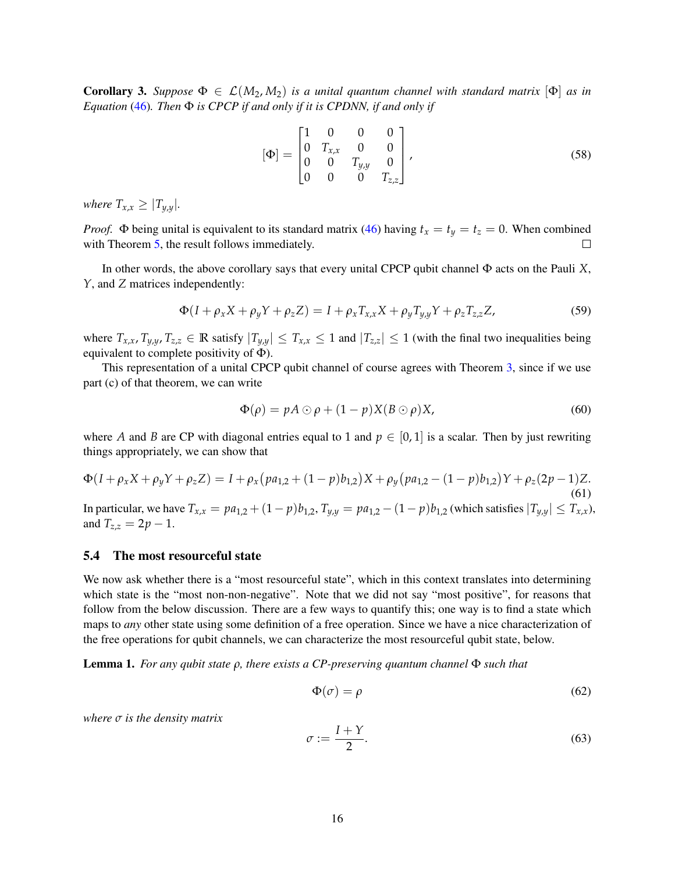Corollary 3. *Suppose*  $\Phi \in \mathcal{L}(M_2, M_2)$  *is a unital quantum channel with standard matrix*  $[\Phi]$  *as in Equation* [\(46\)](#page-12-2)*. Then* Φ *is CPCP if and only if it is CPDNN, if and only if*

$$
[\Phi] = \begin{bmatrix} 1 & 0 & 0 & 0 \\ 0 & T_{x,x} & 0 & 0 \\ 0 & 0 & T_{y,y} & 0 \\ 0 & 0 & 0 & T_{z,z} \end{bmatrix},
$$
\n(58)

*where*  $T_{x,x} \geq |T_{y,y}|$ *.* 

*Proof.*  $\Phi$  being unital is equivalent to its standard matrix [\(46\)](#page-12-2) having  $t_x = t_y = t_z = 0$ . When combined with Theorem [5,](#page-13-0) the result follows immediately.

In other words, the above corollary says that every unital CPCP qubit channel Φ acts on the Pauli *X*, *Y*, and *Z* matrices independently:

$$
\Phi(I + \rho_x X + \rho_y Y + \rho_z Z) = I + \rho_x T_{x,x} X + \rho_y T_{y,y} Y + \rho_z T_{z,z} Z,
$$
\n(59)

where  $T_{x,x}$ ,  $T_{y,y}$ ,  $T_{z,z} \in \mathbb{R}$  satisfy  $|T_{y,y}| \leq T_{x,x} \leq 1$  and  $|T_{z,z}| \leq 1$  (with the final two inequalities being equivalent to complete positivity of  $\Phi$ ).

This representation of a unital CPCP qubit channel of course agrees with Theorem [3,](#page-8-1) since if we use part (c) of that theorem, we can write

$$
\Phi(\rho) = pA \odot \rho + (1 - p)X(B \odot \rho)X,\tag{60}
$$

where *A* and *B* are CP with diagonal entries equal to 1 and  $p \in [0, 1]$  is a scalar. Then by just rewriting things appropriately, we can show that

$$
\Phi(I + \rho_x X + \rho_y Y + \rho_z Z) = I + \rho_x (p a_{1,2} + (1 - p) b_{1,2}) X + \rho_y (p a_{1,2} - (1 - p) b_{1,2}) Y + \rho_z (2p - 1) Z.
$$
\n(61)

\nIn particular, we have  $T_{x,x} = pa_{1,2} + (1 - p) b_{1,2}$ ,  $T_{y,y} = pa_{1,2} - (1 - p) b_{1,2}$  (which satisfies  $|T_{y,y}| \leq T_{x,x}$ ), and  $T_{z,z} = 2p - 1$ .

#### 5.4 The most resourceful state

We now ask whether there is a "most resourceful state", which in this context translates into determining which state is the "most non-non-negative". Note that we did not say "most positive", for reasons that follow from the below discussion. There are a few ways to quantify this; one way is to find a state which maps to *any* other state using some definition of a free operation. Since we have a nice characterization of the free operations for qubit channels, we can characterize the most resourceful qubit state, below.

<span id="page-15-0"></span>Lemma 1. *For any qubit state ρ, there exists a CP-preserving quantum channel* Φ *such that*

$$
\Phi(\sigma) = \rho \tag{62}
$$

*where σ is the density matrix*

$$
\sigma := \frac{I + Y}{2}.\tag{63}
$$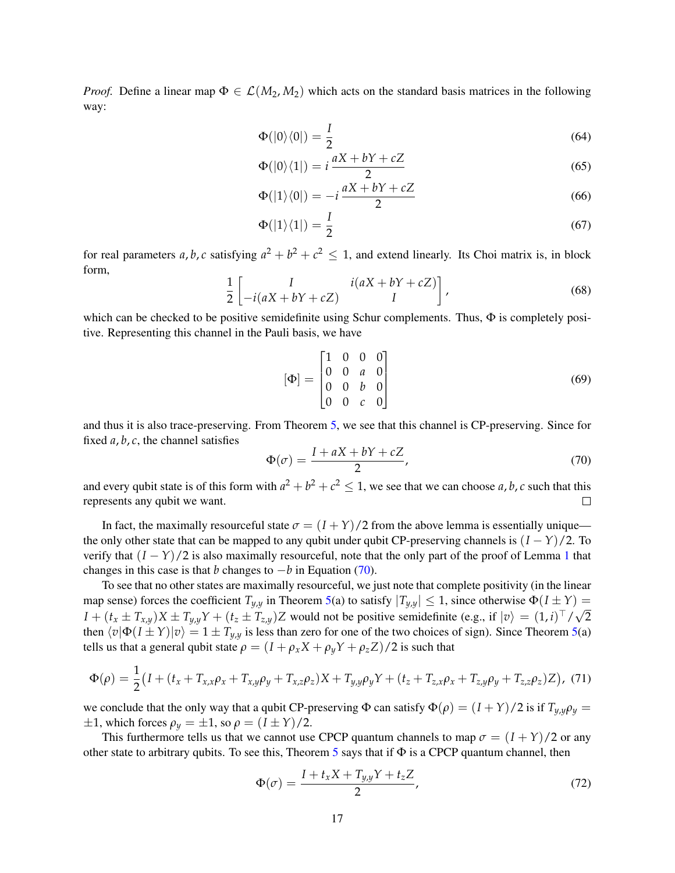*Proof.* Define a linear map  $\Phi \in \mathcal{L}(M_2, M_2)$  which acts on the standard basis matrices in the following way:

$$
\Phi(|0\rangle\langle 0|) = \frac{I}{2} \tag{64}
$$

$$
\Phi(|0\rangle\langle 1|) = i\frac{aX + bY + cZ}{2} \tag{65}
$$

$$
\Phi(|1\rangle\langle 0|) = -i\frac{aX + bY + cZ}{2} \tag{66}
$$

$$
\Phi(|1\rangle\langle 1|) = \frac{I}{2} \tag{67}
$$

for real parameters *a*, *b*, *c* satisfying  $a^2 + b^2 + c^2 \le 1$ , and extend linearly. Its Choi matrix is, in block form,

$$
\frac{1}{2}\begin{bmatrix} I & i(aX + bY + cZ) \\ -i(aX + bY + cZ) & I \end{bmatrix},
$$
\n(68)

which can be checked to be positive semidefinite using Schur complements. Thus,  $\Phi$  is completely positive. Representing this channel in the Pauli basis, we have

$$
[\Phi] = \begin{bmatrix} 1 & 0 & 0 & 0 \\ 0 & 0 & a & 0 \\ 0 & 0 & b & 0 \\ 0 & 0 & c & 0 \end{bmatrix}
$$
 (69)

and thus it is also trace-preserving. From Theorem [5,](#page-13-0) we see that this channel is CP-preserving. Since for fixed *a*, *b*, *c*, the channel satisfies

<span id="page-16-0"></span>
$$
\Phi(\sigma) = \frac{I + aX + bY + cZ}{2},\tag{70}
$$

and every qubit state is of this form with  $a^2 + b^2 + c^2 \le 1$ , we see that we can choose *a*, *b*, *c* such that this represents any qubit we want.  $\Box$ 

In fact, the maximally resourceful state  $\sigma = (I + Y)/2$  from the above lemma is essentially unique the only other state that can be mapped to any qubit under qubit CP-preserving channels is  $(I - Y)/2$ . To verify that  $(I - Y)/2$  is also maximally resourceful, note that the only part of the proof of Lemma [1](#page-15-0) that changes in this case is that *b* changes to  $-b$  in Equation [\(70\)](#page-16-0).

To see that no other states are maximally resourceful, we just note that complete positivity (in the linear map sense) forces the coefficient  $T_{y,y}$  in Theorem [5\(](#page-13-0)a) to satisfy  $|T_{y,y}| \le 1$ , since otherwise  $\Phi(I \pm Y) =$  $I + (t_x \pm T_{x,y})X \pm T_{y,y}Y + (t_z \pm T_{z,y})Z$  would not be positive semidefinite (e.g., if  $|v\rangle = (1,i)^{\top}/\sqrt{2}$ then  $\langle v|\Phi(I \pm Y)|v\rangle = 1 \pm T_{y,y}$  is less than zero for one of the two choices of sign). Since Theorem [5\(](#page-13-0)a) tells us that a general qubit state  $\rho = (I + \rho_x X + \rho_y Y + \rho_z Z)/2$  is such that

$$
\Phi(\rho) = \frac{1}{2} \left( I + (t_x + T_{x,x}\rho_x + T_{x,y}\rho_y + T_{x,z}\rho_z)X + T_{y,y}\rho_y Y + (t_z + T_{z,x}\rho_x + T_{z,y}\rho_y + T_{z,z}\rho_z)Z \right),
$$
 (71)

we conclude that the only way that a qubit CP-preserving  $\Phi$  can satisfy  $\Phi(\rho) = (I + Y)/2$  is if  $T_{\nu,\nu}\rho_{\nu} =$  $\pm 1$ , which forces  $\rho_y = \pm 1$ , so  $\rho = (I \pm Y)/2$ .

This furthermore tells us that we cannot use CPCP quantum channels to map  $\sigma = (I + Y)/2$  or any other state to arbitrary qubits. To see this, Theorem [5](#page-13-0) says that if  $\Phi$  is a CPCP quantum channel, then

$$
\Phi(\sigma) = \frac{I + t_x X + T_{y,y} Y + t_z Z}{2},\tag{72}
$$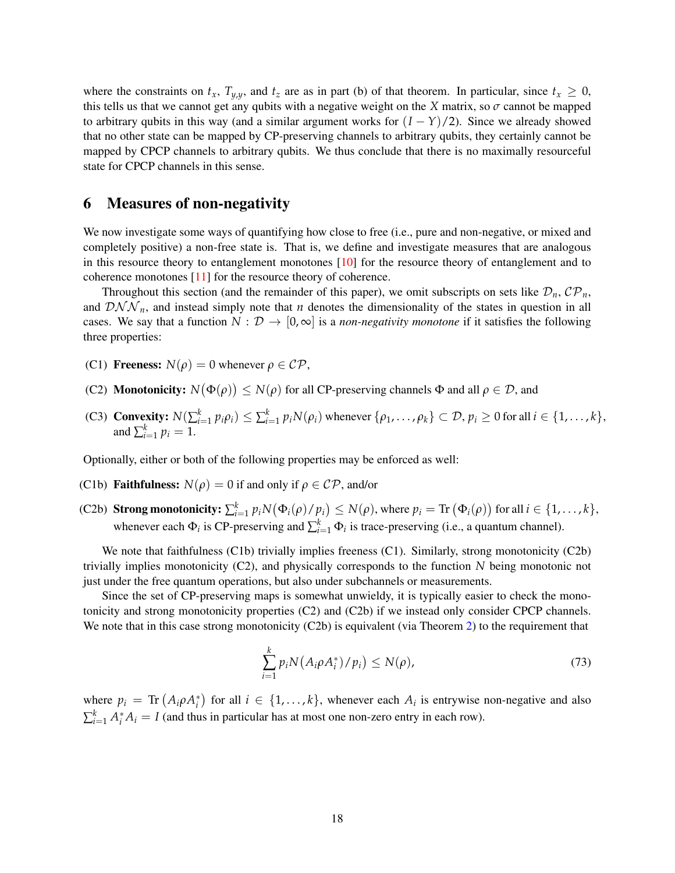where the constraints on  $t_x$ ,  $T_{y,y}$ , and  $t_z$  are as in part (b) of that theorem. In particular, since  $t_x \geq 0$ , this tells us that we cannot get any qubits with a negative weight on the *X* matrix, so  $\sigma$  cannot be mapped to arbitrary qubits in this way (and a similar argument works for  $(I - Y)/2$ ). Since we already showed that no other state can be mapped by CP-preserving channels to arbitrary qubits, they certainly cannot be mapped by CPCP channels to arbitrary qubits. We thus conclude that there is no maximally resourceful state for CPCP channels in this sense.

## <span id="page-17-0"></span>6 Measures of non-negativity

We now investigate some ways of quantifying how close to free (i.e., pure and non-negative, or mixed and completely positive) a non-free state is. That is, we define and investigate measures that are analogous in this resource theory to entanglement monotones  $[10]$  for the resource theory of entanglement and to coherence monotones [\[11\]](#page-26-7) for the resource theory of coherence.

Throughout this section (and the remainder of this paper), we omit subscripts on sets like  $\mathcal{D}_n$ ,  $\mathcal{CP}_n$ , and  $\mathcal{DNN}_n$ , and instead simply note that *n* denotes the dimensionality of the states in question in all cases. We say that a function  $N : \mathcal{D} \to [0,\infty]$  is a *non-negativity monotone* if it satisfies the following three properties:

- (C1) **Freeness:**  $N(\rho) = 0$  whenever  $\rho \in \mathcal{CP}$ ,
- (C2) **Monotonicity:**  $N(\Phi(\rho)) \leq N(\rho)$  for all CP-preserving channels  $\Phi$  and all  $\rho \in \mathcal{D}$ , and
- (C3) Convexity:  $N(\sum_{i=1}^k p_i \rho_i) \leq \sum_{i=1}^k p_i N(\rho_i)$  whenever  $\{\rho_1, \dots, \rho_k\} \subset \mathcal{D}, p_i \geq 0$  for all  $i \in \{1, \dots, k\},$ and  $\sum_{i=1}^{k} p_i = 1$ .

Optionally, either or both of the following properties may be enforced as well:

- (C1b) **Faithfulness:**  $N(\rho) = 0$  if and only if  $\rho \in \mathcal{CP}$ , and/or
- (C2b) **Strong monotonicity:**  $\sum_{i=1}^{k} p_i N(\Phi_i(\rho)/p_i) \le N(\rho)$ , where  $p_i = \text{Tr}(\Phi_i(\rho))$  for all  $i \in \{1, ..., k\}$ , whenever each  $\Phi_i$  is CP-preserving and  $\sum_{i=1}^k \Phi_i$  is trace-preserving (i.e., a quantum channel).

We note that faithfulness (C1b) trivially implies freeness (C1). Similarly, strong monotonicity (C2b) trivially implies monotonicity (C2), and physically corresponds to the function *N* being monotonic not just under the free quantum operations, but also under subchannels or measurements.

Since the set of CP-preserving maps is somewhat unwieldy, it is typically easier to check the monotonicity and strong monotonicity properties (C2) and (C2b) if we instead only consider CPCP channels. We note that in this case strong monotonicity (C2b) is equivalent (via Theorem [2\)](#page-8-0) to the requirement that

$$
\sum_{i=1}^{k} p_i N\big(A_i \rho A_i^*\big)/p_i\big) \le N(\rho),\tag{73}
$$

where  $p_i = \text{Tr} (A_i \rho A_i^*)$  for all  $i \in \{1, ..., k\}$ , whenever each  $A_i$  is entrywise non-negative and also  $\sum_{i=1}^{k} A_i^* A_i = I$  (and thus in particular has at most one non-zero entry in each row).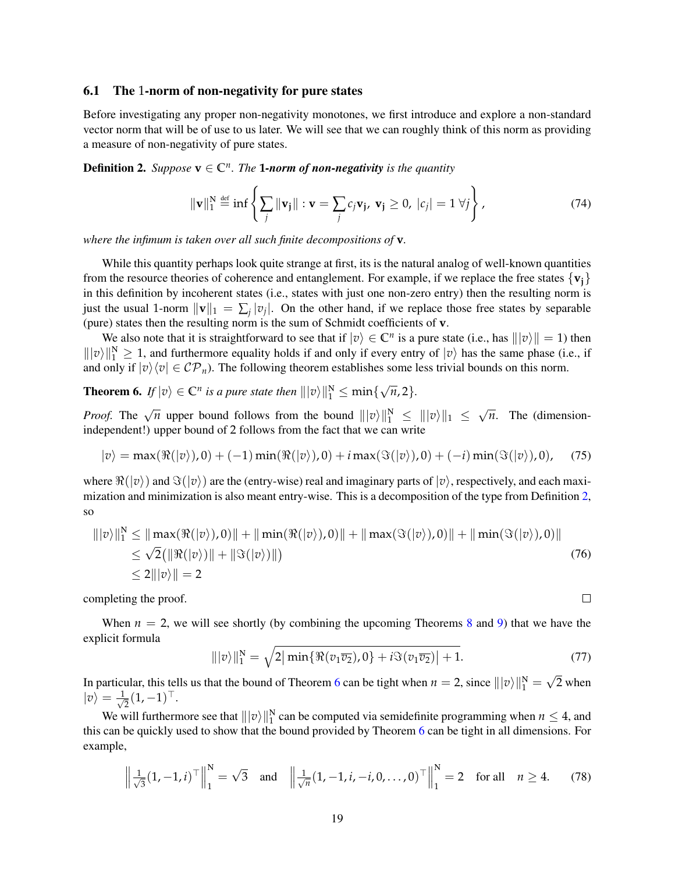#### 6.1 The 1-norm of non-negativity for pure states

Before investigating any proper non-negativity monotones, we first introduce and explore a non-standard vector norm that will be of use to us later. We will see that we can roughly think of this norm as providing a measure of non-negativity of pure states.

<span id="page-18-0"></span>**Definition 2.** *Suppose*  $\mathbf{v} \in \mathbb{C}^n$ . *The* **1***-norm of non-negativity is the quantity* 

$$
\|\mathbf{v}\|_1^N \stackrel{\text{def}}{=} \inf \left\{ \sum_j \|\mathbf{v}_j\| : \mathbf{v} = \sum_j c_j \mathbf{v}_j, \ \mathbf{v}_j \ge 0, \ |c_j| = 1 \ \forall j \right\},\tag{74}
$$

*where the infimum is taken over all such finite decompositions of* **v***.*

While this quantity perhaps look quite strange at first, its is the natural analog of well-known quantities from the resource theories of coherence and entanglement. For example, if we replace the free states  $\{v_i\}$ in this definition by incoherent states (i.e., states with just one non-zero entry) then the resulting norm is just the usual 1-norm  $\|\mathbf{v}\|_1 = \sum_j |v_j|$ . On the other hand, if we replace those free states by separable (pure) states then the resulting norm is the sum of Schmidt coefficients of **v**.

We also note that it is straightforward to see that if  $|v\rangle \in \mathbb{C}^n$  is a pure state (i.e., has  $\| |v\rangle \| = 1$ ) then  $\|v\|\|_1^N \ge 1$ , and furthermore equality holds if and only if every entry of  $|v\rangle$  has the same phase (i.e., if and only if  $|v\rangle\langle v| \in C\mathcal{P}_n$ . The following theorem establishes some less trivial bounds on this norm.

<span id="page-18-1"></span>**Theorem 6.** If  $|v\rangle \in \mathbb{C}^n$  is a pure state then  $\| |v\rangle \|^N_1 \leq \min \{$ √ *n*, 2}*.*

*Proof.* The  $\sqrt{n}$  upper bound follows from the bound  $||v\rangle||_1^N \le ||v\rangle||_1 \le$ √ *n*. The (dimensionindependent!) upper bound of 2 follows from the fact that we can write

$$
|v\rangle = \max(\Re(|v\rangle),0) + (-1)\min(\Re(|v\rangle),0) + i\max(\Im(|v\rangle),0) + (-i)\min(\Im(|v\rangle),0), \quad (75)
$$

where  $\Re(|v\rangle)$  and  $\Im(|v\rangle)$  are the (entry-wise) real and imaginary parts of  $|v\rangle$ , respectively, and each maximization and minimization is also meant entry-wise. This is a decomposition of the type from Definition [2,](#page-18-0) so

$$
\| |v\rangle \|_1^N \le \| \max(\Re(|v\rangle), 0) \| + \| \min(\Re(|v\rangle), 0) \| + \| \max(\Im(|v\rangle), 0) \| + \| \min(\Im(|v\rangle), 0) \|
$$
  
\n
$$
\le \sqrt{2} (\|\Re(|v\rangle)\| + \|\Im(|v\rangle)\|)
$$
  
\n
$$
\le 2 \| |v\rangle \| = 2
$$
\n(76)

completing the proof.

When  $n = 2$ , we will see shortly (by combining the upcoming Theorems [8](#page-22-0) and [9\)](#page-22-1) that we have the explicit formula

$$
\| |v\rangle \|_1^N = \sqrt{2|\min\{\Re(v_1\overline{v_2}), 0\} + i\Im(v_1\overline{v_2})| + 1}.\tag{77}
$$

 $\Box$ 

In particular, this tells us that the bound of Theorem [6](#page-18-1) can be tight when  $n = 2$ , since  $\| |v\rangle \|^N_1 =$ 2 when  $|v\rangle = \frac{1}{\sqrt{2}}$  $\frac{1}{2}(1,-1)^\top$ .

We will furthermore see that  $|||v\rangle||_1^N$  can be computed via semidefinite programming when  $n \leq 4$ , and this can be quickly used to show that the bound provided by Theorem [6](#page-18-1) can be tight in all dimensions. For example,

$$
\left\| \frac{1}{\sqrt{3}} (1, -1, i)^{\top} \right\|_{1}^{N} = \sqrt{3} \quad \text{and} \quad \left\| \frac{1}{\sqrt{n}} (1, -1, i, -i, 0, \dots, 0)^{\top} \right\|_{1}^{N} = 2 \quad \text{for all} \quad n \ge 4. \tag{78}
$$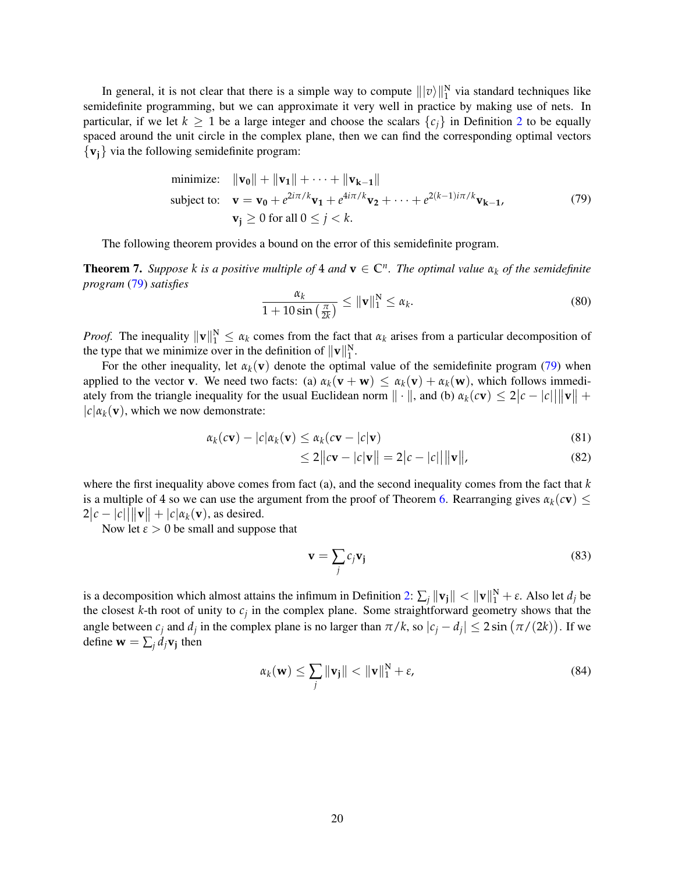In general, it is not clear that there is a simple way to compute  $\| |v\rangle\|_1^N$  via standard techniques like semidefinite programming, but we can approximate it very well in practice by making use of nets. In particular, if we let  $k \ge 1$  be a large integer and choose the scalars  $\{c_j\}$  in Definition [2](#page-18-0) to be equally spaced around the unit circle in the complex plane, then we can find the corresponding optimal vectors  $\{v_i\}$  via the following semidefinite program:

minimize: 
$$
\|\mathbf{v_0}\| + \|\mathbf{v_1}\| + \cdots + \|\mathbf{v_{k-1}}\|
$$
  
\nsubject to:  $\mathbf{v} = \mathbf{v_0} + e^{2i\pi/k}\mathbf{v_1} + e^{4i\pi/k}\mathbf{v_2} + \cdots + e^{2(k-1)i\pi/k}\mathbf{v_{k-1}}$ ,  
\n $\mathbf{v_j} \ge 0$  for all  $0 \le j < k$ . (79)

The following theorem provides a bound on the error of this semidefinite program.

**Theorem 7.** Suppose *k is a positive multiple of* 4 *and*  $\mathbf{v} \in \mathbb{C}^n$ . The optimal value  $\alpha_k$  of the semidefinite *program* [\(79\)](#page-19-0) *satisfies*

<span id="page-19-0"></span>
$$
\frac{\alpha_k}{1+10\sin\left(\frac{\pi}{2k}\right)} \leq \|\mathbf{v}\|_1^N \leq \alpha_k. \tag{80}
$$

*Proof.* The inequality  $\|\mathbf{v}\|_1^N \leq \alpha_k$  comes from the fact that  $\alpha_k$  arises from a particular decomposition of the type that we minimize over in the definition of  $\|\mathbf{v}\|_1^N$ .

For the other inequality, let  $\alpha_k(\mathbf{v})$  denote the optimal value of the semidefinite program [\(79\)](#page-19-0) when applied to the vector **v**. We need two facts: (a)  $\alpha_k(\mathbf{v} + \mathbf{w}) \leq \alpha_k(\mathbf{v}) + \alpha_k(\mathbf{w})$ , which follows immediately from the triangle inequality for the usual Euclidean norm  $\|\cdot\|$ , and (b)  $\alpha_k(c\mathbf{v}) \leq 2|c - |c| \|\mathbf{v}\| +$  $|c| \alpha_k(\mathbf{v})$ , which we now demonstrate:

$$
\alpha_k(c\mathbf{v}) - |c|\alpha_k(\mathbf{v}) \le \alpha_k(c\mathbf{v} - |c|\mathbf{v})
$$
\n(81)

$$
\leq 2\|c\mathbf{v} - |c|\mathbf{v}\| = 2|c - |c||\|\mathbf{v}\|,\tag{82}
$$

where the first inequality above comes from fact (a), and the second inequality comes from the fact that *k* is a multiple of 4 so we can use the argument from the proof of Theorem [6.](#page-18-1) Rearranging gives  $\alpha_k(c\mathbf{v})$   $\leq$  $2|c - |c| \cdot ||\mathbf{v}|| + |c| \alpha_k(\mathbf{v})$ , as desired.

Now let  $\varepsilon > 0$  be small and suppose that

$$
\mathbf{v} = \sum_{j} c_j \mathbf{v}_j \tag{83}
$$

is a decomposition which almost attains the infimum in Definition [2:](#page-18-0)  $\sum_j ||\mathbf{v}_j|| < ||\mathbf{v}||_1^N + \varepsilon$ . Also let  $d_j$  be the closest  $k$ -th root of unity to  $c_j$  in the complex plane. Some straightforward geometry shows that the angle between  $c_j$  and  $d_j$  in the complex plane is no larger than  $\pi/k$ , so  $|c_j - d_j| \leq 2 \sin(\pi/(2k))$ . If we define  $\mathbf{w} = \sum_j d_j \mathbf{v}_j$  then

$$
\alpha_k(\mathbf{w}) \le \sum_j \|\mathbf{v}_j\| < \|\mathbf{v}\|_1^N + \varepsilon,\tag{84}
$$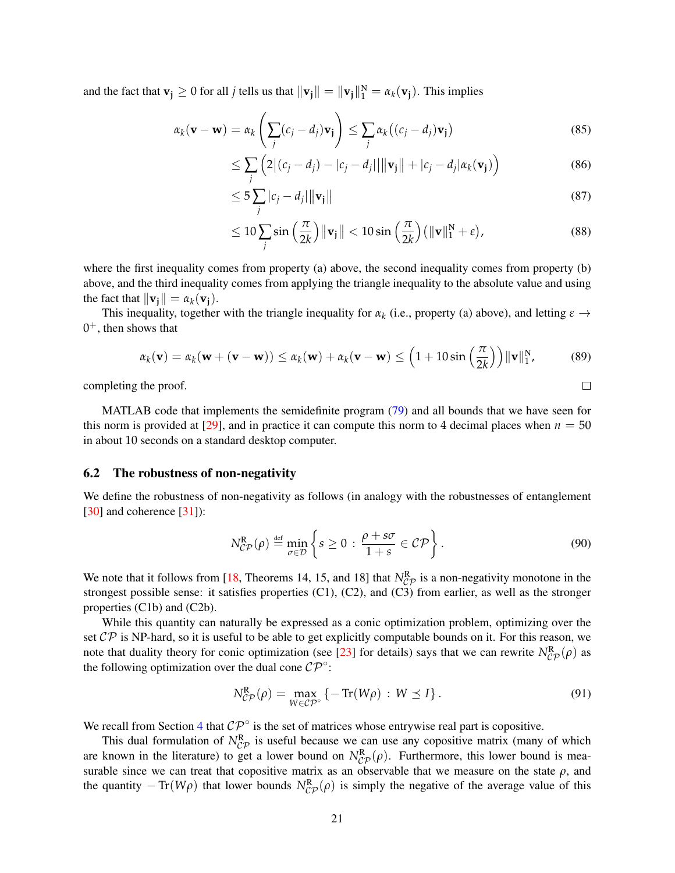and the fact that  $\mathbf{v}_j \ge 0$  for all *j* tells us that  $\|\mathbf{v}_j\| = \|\mathbf{v}_j\|_1^N = \alpha_k(\mathbf{v}_j)$ . This implies

$$
\alpha_k(\mathbf{v} - \mathbf{w}) = \alpha_k \left( \sum_j (c_j - d_j) \mathbf{v}_j \right) \le \sum_j \alpha_k \left( (c_j - d_j) \mathbf{v}_j \right)
$$
(85)

$$
\leq \sum_{j} \left( 2|(c_j - d_j) - |c_j - d_j| \, ||\mathbf{v}_j|| + |c_j - d_j| \alpha_k(\mathbf{v}_j) \right) \tag{86}
$$

$$
\leq 5\sum_{j}|c_{j}-d_{j}|\|\mathbf{v}_{j}\|
$$
\n(87)

$$
\leq 10 \sum_{j} \sin\left(\frac{\pi}{2k}\right) \|\mathbf{v}_{j}\| < 10 \sin\left(\frac{\pi}{2k}\right) \left(\|\mathbf{v}\|_{1}^{N} + \varepsilon\right),\tag{88}
$$

<span id="page-20-0"></span> $\Box$ 

where the first inequality comes from property (a) above, the second inequality comes from property (b) above, and the third inequality comes from applying the triangle inequality to the absolute value and using the fact that  $\|\mathbf{v_i}\| = \alpha_k(\mathbf{v_i}).$ 

This inequality, together with the triangle inequality for  $\alpha_k$  (i.e., property (a) above), and letting  $\varepsilon \to$  $0<sup>+</sup>$ , then shows that

$$
\alpha_k(\mathbf{v}) = \alpha_k(\mathbf{w} + (\mathbf{v} - \mathbf{w})) \le \alpha_k(\mathbf{w}) + \alpha_k(\mathbf{v} - \mathbf{w}) \le \left(1 + 10\sin\left(\frac{\pi}{2k}\right)\right) \|\mathbf{v}\|_1^N, \tag{89}
$$

completing the proof.

MATLAB code that implements the semidefinite program [\(79\)](#page-19-0) and all bounds that we have seen for this norm is provided at  $[29]$ , and in practice it can compute this norm to 4 decimal places when  $n = 50$ in about 10 seconds on a standard desktop computer.

### 6.2 The robustness of non-negativity

We define the robustness of non-negativity as follows (in analogy with the robustnesses of entanglement [\[30\]](#page-27-7) and coherence [\[31\]](#page-27-8)):

$$
N_{\mathcal{CP}}^{\mathcal{R}}(\rho) \stackrel{\text{def}}{=} \min_{\sigma \in \mathcal{D}} \left\{ s \ge 0 : \frac{\rho + s\sigma}{1 + s} \in \mathcal{CP} \right\}. \tag{90}
$$

We note that it follows from [\[18,](#page-26-14) Theorems 14, 15, and 18] that  $N_{CP}^R$  is a non-negativity monotone in the strongest possible sense: it satisfies properties (C1), (C2), and (C3) from earlier, as well as the stronger properties (C1b) and (C2b).

While this quantity can naturally be expressed as a conic optimization problem, optimizing over the set  $\mathcal{CP}$  is NP-hard, so it is useful to be able to get explicitly computable bounds on it. For this reason, we note that duality theory for conic optimization (see [\[23\]](#page-27-0) for details) says that we can rewrite  $N_{CP}^{R}(\rho)$  as the following optimization over the dual cone  $\mathcal{CP}^{\circ}$ :

$$
N_{\mathcal{CP}}^{\mathbf{R}}(\rho) = \max_{W \in \mathcal{CP}^{\circ}} \left\{ -\operatorname{Tr}(W\rho) \, : \, W \preceq I \right\}.
$$

We recall from Section [4](#page-5-0) that  $\mathcal{CP}^{\circ}$  is the set of matrices whose entrywise real part is copositive.

This dual formulation of  $N_{CP}^R$  is useful because we can use any copositive matrix (many of which are known in the literature) to get a lower bound on  $N_{CP}^{R}(\rho)$ . Furthermore, this lower bound is measurable since we can treat that copositive matrix as an observable that we measure on the state  $\rho$ , and the quantity  $-\text{Tr}(W\rho)$  that lower bounds  $N_{\mathcal{CP}}^R(\rho)$  is simply the negative of the average value of this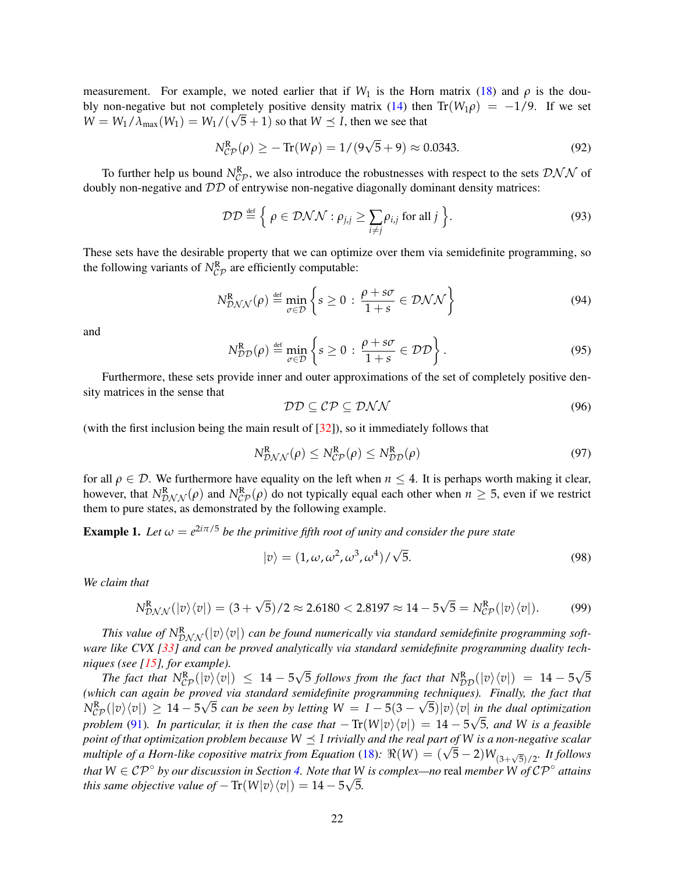measurement. For example, we noted earlier that if  $W_1$  is the Horn matrix [\(18\)](#page-6-2) and  $\rho$  is the dou-bly non-negative but not completely positive density matrix [\(14\)](#page-4-1) then  $Tr(W_1 \rho) = -1/9$ . If we set  $W = W_1 / \lambda_{\text{max}}(W_1) = W_1 / (\sqrt{5} + 1)$  so that  $W \leq I$ , then we see that

$$
N_{CP}^{R}(\rho) \ge -\text{Tr}(W\rho) = 1/(9\sqrt{5} + 9) \approx 0.0343. \tag{92}
$$

To further help us bound  $N_{CP}^R$ , we also introduce the robustnesses with respect to the sets  $\mathcal{DNN}$  of doubly non-negative and DD of entrywise non-negative diagonally dominant density matrices:

$$
\mathcal{DD} \stackrel{\text{def}}{=} \left\{ \rho \in \mathcal{DNN} : \rho_{j,j} \ge \sum_{i \ne j} \rho_{i,j} \text{ for all } j \right\}. \tag{93}
$$

These sets have the desirable property that we can optimize over them via semidefinite programming, so the following variants of  $N_{CP}^R$  are efficiently computable:

$$
N_{\mathcal{D}N\mathcal{N}}^{\mathcal{R}}(\rho) \stackrel{\text{def}}{=} \min_{\sigma \in \mathcal{D}} \left\{ s \ge 0 : \frac{\rho + s\sigma}{1 + s} \in \mathcal{D}N\mathcal{N} \right\} \tag{94}
$$

and

$$
N_{\mathcal{DD}}^{\mathcal{R}}(\rho) \stackrel{\text{def}}{=} \min_{\sigma \in \mathcal{D}} \left\{ s \ge 0 : \frac{\rho + s\sigma}{1 + s} \in \mathcal{DD} \right\}. \tag{95}
$$

Furthermore, these sets provide inner and outer approximations of the set of completely positive density matrices in the sense that

$$
\mathcal{DD} \subseteq \mathcal{CP} \subseteq \mathcal{DNN} \tag{96}
$$

(with the first inclusion being the main result of [\[32\]](#page-27-9)), so it immediately follows that

$$
N_{\mathcal{D}\mathcal{N}\mathcal{N}}^{\mathcal{R}}(\rho) \leq N_{\mathcal{CP}}^{\mathcal{R}}(\rho) \leq N_{\mathcal{DD}}^{\mathcal{R}}(\rho) \tag{97}
$$

for all  $\rho \in \mathcal{D}$ . We furthermore have equality on the left when  $n \leq 4$ . It is perhaps worth making it clear, however, that  $N_{\mathcal{D},\mathcal{N},\mathcal{N}}^R(\rho)$  and  $N_{\mathcal{CP}}^R(\rho)$  do not typically equal each other when  $n \geq 5$ , even if we restrict them to pure states, as demonstrated by the following example.

**Example 1.** Let  $\omega = e^{2i\pi/5}$  be the primitive fifth root of unity and consider the pure state

$$
|v\rangle = (1, \omega, \omega^2, \omega^3, \omega^4) / \sqrt{5}.
$$
 (98)

*We claim that*

$$
N_{\mathcal{DNN}}^{\mathcal{R}}(|v\rangle\langle v|) = (3+\sqrt{5})/2 \approx 2.6180 < 2.8197 \approx 14 - 5\sqrt{5} = N_{\mathcal{CP}}^{\mathcal{R}}(|v\rangle\langle v|). \tag{99}
$$

This value of  $N_{\mathcal{DNN}}^R(|v\rangle\langle v|)$  can be found numerically via standard semidefinite programming soft*ware like CVX [\[33\]](#page-27-10) and can be proved analytically via standard semidefinite programming duality techniques (see [\[15\]](#page-26-11), for example).* √ √

*The fact that*  $N_{\mathcal{CP}}^{\mathbb{R}}(|v\rangle\langle v|) \leq 14 - 5$  $\overline{5}$  *follows from the fact that*  $N_{\mathcal{DD}}^R(|v\rangle\langle v|) = 14 - 5$ 5 *(which can again be proved via standard semidefinite programming techniques). Finally, the fact that* √ √  $N_{CP}^{R}(|v\rangle\langle v|) \geq 14 - 5\sqrt{5}$  *can be seen by letting*  $W = I - 5(3 - \sqrt{5})|v\rangle\langle v|$  *in the dual optimization problem* [\(91\)](#page-20-0). In particular, it is then the case that  $-\text{Tr}(W|v\rangle\langle v|) = 14 - 5\sqrt{5}$ , and W is a feasible *point of that optimization problem because W I trivially and the real part of W is a non-negative scalar* point of that optimization problem because  $W \preceq$  1 trivially and the real part of W is a non-negative scalar<br>multiple of a Horn-like copositive matrix from Equation [\(18\)](#page-6-2):  $\Re(W) = (\sqrt{5}-2)W_{(3+\sqrt{5})/2}$ . It follows *that*  $W \in \mathcal{CP}^{\circ}$  *by our discussion in Section [4.](#page-5-0) Note that W is complex—no* real *member*  $W$  *of*  $\mathcal{CP}^{\circ}$  *attains this same objective value of*  $-\text{Tr}(W|v\rangle\langle v|) = 14 - 5\sqrt{5}$ .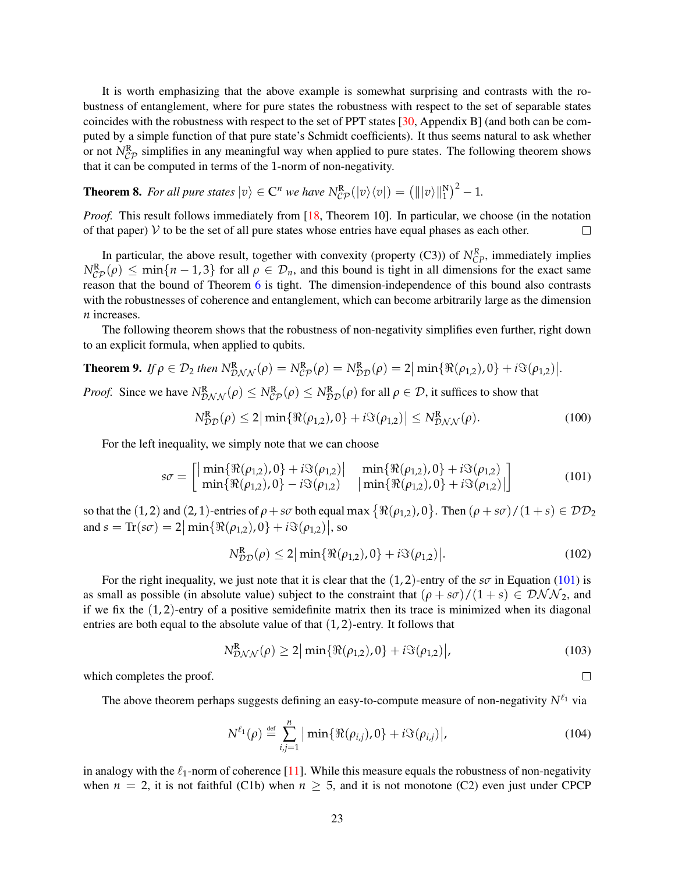It is worth emphasizing that the above example is somewhat surprising and contrasts with the robustness of entanglement, where for pure states the robustness with respect to the set of separable states coincides with the robustness with respect to the set of PPT states [\[30,](#page-27-7) Appendix B] (and both can be computed by a simple function of that pure state's Schmidt coefficients). It thus seems natural to ask whether or not  $N_{CP}^R$  simplifies in any meaningful way when applied to pure states. The following theorem shows that it can be computed in terms of the 1-norm of non-negativity.

<span id="page-22-0"></span>**Theorem 8.** For all pure states  $|v\rangle \in \mathbb{C}^n$  we have  $N_{CP}^{\mathbb{R}}(|v\rangle\langle v|) = (|||v\rangle||_1^{\mathbb{N}})^2 - 1$ .

*Proof.* This result follows immediately from [\[18,](#page-26-14) Theorem 10]. In particular, we choose (in the notation of that paper)  $\mathcal V$  to be the set of all pure states whose entries have equal phases as each other.  $\Box$ 

In particular, the above result, together with convexity (property  $(C3)$ ) of  $N_{CP}^R$ , immediately implies  $N_{CP}^{R}(\rho) \le \min\{n-1, 3\}$  for all  $\rho \in \mathcal{D}_n$ , and this bound is tight in all dimensions for the exact same reason that the bound of Theorem [6](#page-18-1) is tight. The dimension-independence of this bound also contrasts with the robustnesses of coherence and entanglement, which can become arbitrarily large as the dimension *n* increases.

The following theorem shows that the robustness of non-negativity simplifies even further, right down to an explicit formula, when applied to qubits.

<span id="page-22-1"></span>**Theorem 9.** If 
$$
\rho \in \mathcal{D}_2
$$
 then  $N_{\mathcal{D}NN}^R(\rho) = N_{CP}^R(\rho) = N_{\mathcal{D}\mathcal{D}}^R(\rho) = 2 \vert \min\{\Re(\rho_{1,2}), 0\} + i \Im(\rho_{1,2})\vert$   
\n*Proof.* Since we have  $N^R$ ,  $(\rho) \le N^R$ ,  $(\rho) \le N^R$ ,  $(\rho)$  for all  $\rho \in \mathcal{D}$ , it suffices to show that

*Proof.* Since we have  $N_{\mathcal{D} \mathcal{N} \mathcal{N}}^R(\rho) \leq N_{\mathcal{CP}}^R(\rho) \leq N_{\mathcal{DD}}^R(\rho)$  for all  $\rho \in \mathcal{D}$ , it suffices to show that

$$
N_{DD}^{R}(\rho) \le 2|\min\{\Re(\rho_{1,2}), 0\} + i\Im(\rho_{1,2})| \le N_{DNN}^{R}(\rho). \tag{100}
$$

<span id="page-22-2"></span>*.*

 $\Box$ 

For the left inequality, we simply note that we can choose

$$
s\sigma = \begin{bmatrix} \min\{\Re(\rho_{1,2}), 0\} + i\Im(\rho_{1,2}) & \min\{\Re(\rho_{1,2}), 0\} + i\Im(\rho_{1,2})\\ \min\{\Re(\rho_{1,2}), 0\} - i\Im(\rho_{1,2}) & \min\{\Re(\rho_{1,2}), 0\} + i\Im(\rho_{1,2})\end{bmatrix}
$$
(101)

so that the  $(1, 2)$  and  $(2, 1)$ -entries of  $\rho + s\sigma$  both equal max  $\{\Re(\rho_{1,2}), 0\}$ . Then  $(\rho + s\sigma)/(1 + s) \in \mathcal{DD}_2$ and  $s = \text{Tr}(s\sigma) = 2 \left| \min \{ \Re(\rho_{1,2}), 0 \} + i \Im(\rho_{1,2}) \right|$ , so

$$
N_{DD}^{R}(\rho) \le 2|\min\{\Re(\rho_{1,2}), 0\} + i\Im(\rho_{1,2})|.
$$
 (102)

For the right inequality, we just note that it is clear that the  $(1, 2)$ -entry of the *s* $\sigma$  in Equation [\(101\)](#page-22-2) is as small as possible (in absolute value) subject to the constraint that  $(\rho + s\sigma)/(1 + s) \in \mathcal{DNN}_2$ , and if we fix the  $(1, 2)$ -entry of a positive semidefinite matrix then its trace is minimized when its diagonal entries are both equal to the absolute value of that  $(1, 2)$ -entry. It follows that

$$
N_{\mathcal{D}NN}^{\mathcal{R}}(\rho) \ge 2|\min\{\Re(\rho_{1,2}),0\} + i\Im(\rho_{1,2})|,\tag{103}
$$

which completes the proof.

The above theorem perhaps suggests defining an easy-to-compute measure of non-negativity  $N^{\ell_1}$  via

$$
N^{\ell_1}(\rho) \stackrel{\text{def}}{=} \sum_{i,j=1}^n |\min\{\Re(\rho_{i,j}), 0\} + i \Im(\rho_{i,j})|,
$$
 (104)

in analogy with the  $\ell_1$ -norm of coherence [\[11\]](#page-26-7). While this measure equals the robustness of non-negativity when  $n = 2$ , it is not faithful (C1b) when  $n \geq 5$ , and it is not monotone (C2) even just under CPCP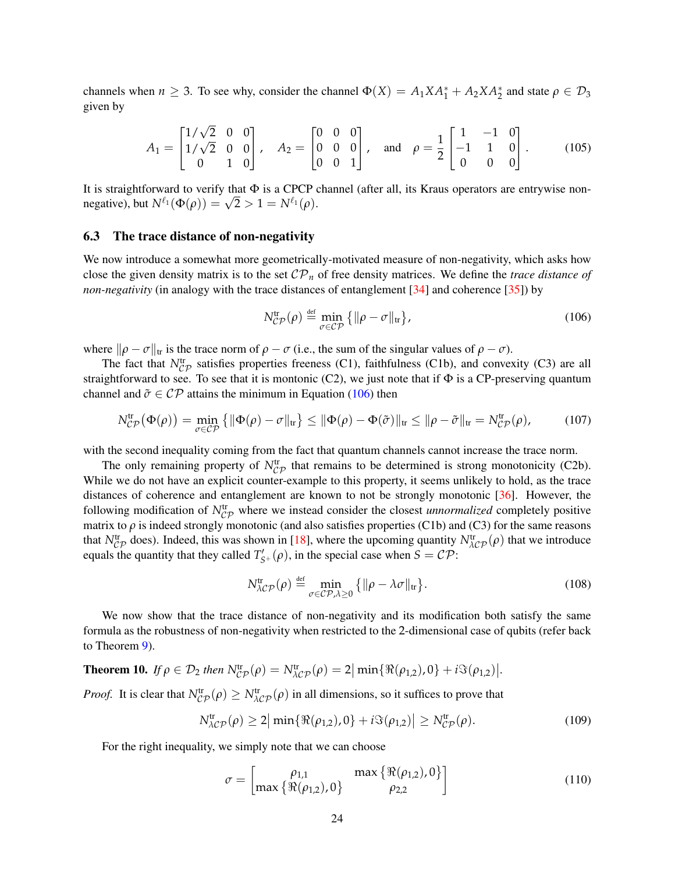channels when  $n \ge 3$ . To see why, consider the channel  $\Phi(X) = A_1 X A_1^* + A_2 X A_2^*$  and state  $\rho \in \mathcal{D}_3$ given by

$$
A_1 = \begin{bmatrix} 1/\sqrt{2} & 0 & 0 \\ 1/\sqrt{2} & 0 & 0 \\ 0 & 1 & 0 \end{bmatrix}, \quad A_2 = \begin{bmatrix} 0 & 0 & 0 \\ 0 & 0 & 0 \\ 0 & 0 & 1 \end{bmatrix}, \quad \text{and} \quad \rho = \frac{1}{2} \begin{bmatrix} 1 & -1 & 0 \\ -1 & 1 & 0 \\ 0 & 0 & 0 \end{bmatrix}. \tag{105}
$$

It is straightforward to verify that  $\Phi$  is a CPCP channel (after all, its Kraus operators are entrywise nonit is straightforward to verify that  $\Psi$  is a CPCP of negative), but  $N^{\ell_1}(\Phi(\rho)) = \sqrt{2} > 1 = N^{\ell_1}(\rho)$ .

#### 6.3 The trace distance of non-negativity

We now introduce a somewhat more geometrically-motivated measure of non-negativity, which asks how close the given density matrix is to the set  $\mathcal{CP}_n$  of free density matrices. We define the *trace distance of non-negativity* (in analogy with the trace distances of entanglement [\[34\]](#page-27-11) and coherence [\[35\]](#page-27-12)) by

<span id="page-23-0"></span>
$$
N_{\mathcal{CP}}^{\text{tr}}(\rho) \stackrel{\text{def}}{=} \min_{\sigma \in \mathcal{CP}} \left\{ \|\rho - \sigma\|_{\text{tr}} \right\},\tag{106}
$$

where  $\|\rho - \sigma\|_{tr}$  is the trace norm of  $\rho - \sigma$  (i.e., the sum of the singular values of  $\rho - \sigma$ ).

The fact that  $N_{CP}^{tr}$  satisfies properties freeness (C1), faithfulness (C1b), and convexity (C3) are all straightforward to see. To see that it is montonic (C2), we just note that if  $\Phi$  is a CP-preserving quantum channel and  $\tilde{\sigma} \in \mathcal{CP}$  attains the minimum in Equation [\(106\)](#page-23-0) then

$$
N_{\mathcal{CP}}^{\mathrm{tr}}(\Phi(\rho)) = \min_{\sigma \in \mathcal{CP}} \left\{ \|\Phi(\rho) - \sigma\|_{\mathrm{tr}} \right\} \le \|\Phi(\rho) - \Phi(\tilde{\sigma})\|_{\mathrm{tr}} \le \|\rho - \tilde{\sigma}\|_{\mathrm{tr}} = N_{\mathcal{CP}}^{\mathrm{tr}}(\rho), \tag{107}
$$

with the second inequality coming from the fact that quantum channels cannot increase the trace norm.

The only remaining property of  $N_{CP}^{tr}$  that remains to be determined is strong monotonicity (C2b). While we do not have an explicit counter-example to this property, it seems unlikely to hold, as the trace distances of coherence and entanglement are known to not be strongly monotonic [\[36\]](#page-27-13). However, the following modification of  $N_{CP}^{tr}$  where we instead consider the closest *unnormalized* completely positive matrix to *ρ* is indeed strongly monotonic (and also satisfies properties (C1b) and (C3) for the same reasons that  $N_{\mathcal{CP}}^{\text{tr}}$  does). Indeed, this was shown in [\[18\]](#page-26-14), where the upcoming quantity  $N_{\mathcal{AP}}^{\text{tr}}(\rho)$  that we introduce equals the quantity that they called  $T'_{S^+}(\rho)$ , in the special case when  $S = \mathcal{CP}$ :

$$
N_{\lambda\mathcal{CP}}^{\text{tr}}(\rho) \stackrel{\text{def}}{=} \min_{\sigma \in \mathcal{CP}, \lambda \ge 0} \left\{ \|\rho - \lambda\sigma\|_{\text{tr}} \right\}. \tag{108}
$$

We now show that the trace distance of non-negativity and its modification both satisfy the same formula as the robustness of non-negativity when restricted to the 2-dimensional case of qubits (refer back to Theorem [9\)](#page-22-1).

**Theorem 10.** If 
$$
\rho \in \mathcal{D}_2
$$
 then  $N_{CP}^{\text{tr}}(\rho) = N_{\lambda CP}^{\text{tr}}(\rho) = 2 \vert \min \{ \Re(\rho_{1,2}), 0 \} + i \Im(\rho_{1,2}) \vert$ .

*Proof.* It is clear that  $N_{\mathcal{CP}}^{\text{tr}}(\rho) \geq N_{\mathcal{MP}}^{\text{tr}}(\rho)$  in all dimensions, so it suffices to prove that

$$
N_{\lambda\mathcal{CP}}^{\text{tr}}(\rho) \ge 2 \big| \min \{ \Re(\rho_{1,2}), 0 \} + i \Im(\rho_{1,2}) \big| \ge N_{\mathcal{CP}}^{\text{tr}}(\rho). \tag{109}
$$

For the right inequality, we simply note that we can choose

$$
\sigma = \begin{bmatrix} \rho_{1,1} & \max\{\Re(\rho_{1,2}), 0\} \\ \max\{\Re(\rho_{1,2}), 0\} & \rho_{2,2} \end{bmatrix}
$$
(110)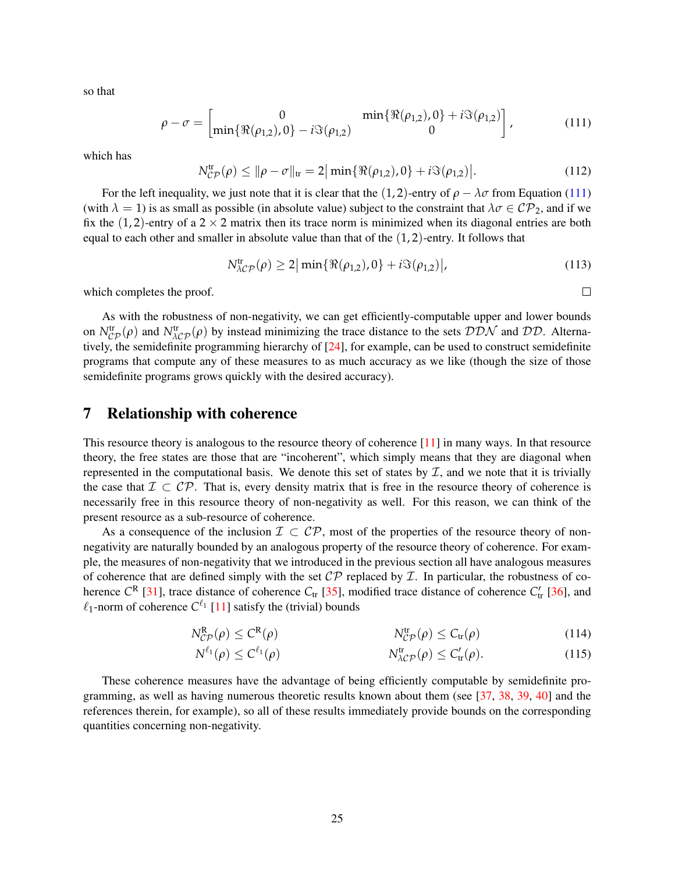so that

$$
\rho - \sigma = \begin{bmatrix} 0 & \min\{\Re(\rho_{1,2}), 0\} + i\Im(\rho_{1,2}) \\ \min\{\Re(\rho_{1,2}), 0\} - i\Im(\rho_{1,2}) & 0 \end{bmatrix},
$$
(111)

which has

$$
N_{CP}^{\text{tr}}(\rho) \le ||\rho - \sigma||_{\text{tr}} = 2|\min\{\Re(\rho_{1,2}), 0\} + i\Im(\rho_{1,2})|.
$$
 (112)

For the left inequality, we just note that it is clear that the  $(1, 2)$ -entry of  $\rho - \lambda \sigma$  from Equation [\(111\)](#page-24-1) (with  $\lambda = 1$ ) is as small as possible (in absolute value) subject to the constraint that  $\lambda \sigma \in \mathcal{CP}_2$ , and if we fix the  $(1, 2)$ -entry of a 2  $\times$  2 matrix then its trace norm is minimized when its diagonal entries are both equal to each other and smaller in absolute value than that of the  $(1, 2)$ -entry. It follows that

$$
N_{\lambda\mathcal{CP}}^{\text{tr}}(\rho) \ge 2 \big| \min \{ \Re(\rho_{1,2}), 0 \} + i \Im(\rho_{1,2}) \big|,\tag{113}
$$

<span id="page-24-1"></span> $\Box$ 

which completes the proof.

As with the robustness of non-negativity, we can get efficiently-computable upper and lower bounds on  $N_{\cal CP}^{\rm tr}(\rho)$  and  $N_{\cal AP}^{\rm tr}(\rho)$  by instead minimizing the trace distance to the sets  $\cal DDN$  and  $\cal DD$ . Alternatively, the semidefinite programming hierarchy of [\[24\]](#page-27-1), for example, can be used to construct semidefinite programs that compute any of these measures to as much accuracy as we like (though the size of those semidefinite programs grows quickly with the desired accuracy).

## <span id="page-24-0"></span>7 Relationship with coherence

This resource theory is analogous to the resource theory of coherence [\[11\]](#page-26-7) in many ways. In that resource theory, the free states are those that are "incoherent", which simply means that they are diagonal when represented in the computational basis. We denote this set of states by  $\mathcal I$ , and we note that it is trivially the case that  $\mathcal{I} \subset \mathcal{CP}$ . That is, every density matrix that is free in the resource theory of coherence is necessarily free in this resource theory of non-negativity as well. For this reason, we can think of the present resource as a sub-resource of coherence.

As a consequence of the inclusion  $\mathcal{I} \subset \mathcal{CP}$ , most of the properties of the resource theory of nonnegativity are naturally bounded by an analogous property of the resource theory of coherence. For example, the measures of non-negativity that we introduced in the previous section all have analogous measures of coherence that are defined simply with the set  $\mathcal{CP}$  replaced by  $\mathcal I$ . In particular, the robustness of coherence  $C^R$  [\[31\]](#page-27-8), trace distance of coherence  $C_{tr}$  [\[35\]](#page-27-12), modified trace distance of coherence  $C'_{tr}$  [\[36\]](#page-27-13), and  $\ell_1$ -norm of coherence  $C^{\ell_1}$  [\[11\]](#page-26-7) satisfy the (trivial) bounds

$$
N_{\mathcal{CP}}^{\mathbf{R}}(\rho) \leq C^{\mathbf{R}}(\rho) \qquad N_{\mathcal{CP}}^{\mathbf{tr}}(\rho) \leq C_{\mathbf{tr}}(\rho) \qquad (114)
$$

$$
N^{\ell_1}(\rho) \le C^{\ell_1}(\rho) \qquad \qquad N^{\text{tr}}_{\lambda \mathcal{CP}}(\rho) \le C'_{\text{tr}}(\rho). \qquad (115)
$$

These coherence measures have the advantage of being efficiently computable by semidefinite programming, as well as having numerous theoretic results known about them (see [\[37,](#page-27-14) [38,](#page-27-15) [39,](#page-27-16) [40\]](#page-27-17) and the references therein, for example), so all of these results immediately provide bounds on the corresponding quantities concerning non-negativity.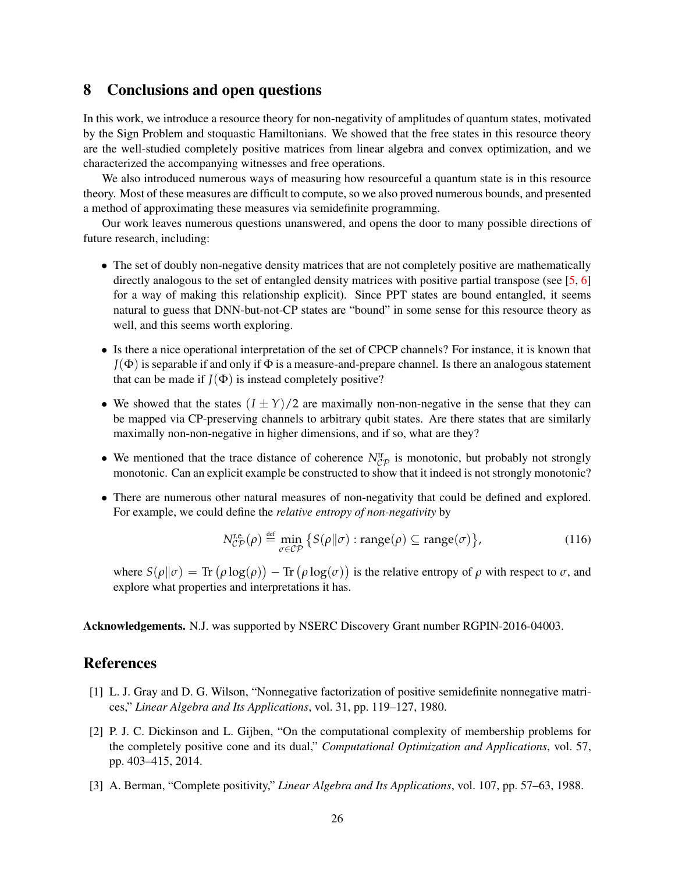## <span id="page-25-3"></span>8 Conclusions and open questions

In this work, we introduce a resource theory for non-negativity of amplitudes of quantum states, motivated by the Sign Problem and stoquastic Hamiltonians. We showed that the free states in this resource theory are the well-studied completely positive matrices from linear algebra and convex optimization, and we characterized the accompanying witnesses and free operations.

We also introduced numerous ways of measuring how resourceful a quantum state is in this resource theory. Most of these measures are difficult to compute, so we also proved numerous bounds, and presented a method of approximating these measures via semidefinite programming.

Our work leaves numerous questions unanswered, and opens the door to many possible directions of future research, including:

- The set of doubly non-negative density matrices that are not completely positive are mathematically directly analogous to the set of entangled density matrices with positive partial transpose (see [\[5,](#page-26-1) [6\]](#page-26-2) for a way of making this relationship explicit). Since PPT states are bound entangled, it seems natural to guess that DNN-but-not-CP states are "bound" in some sense for this resource theory as well, and this seems worth exploring.
- Is there a nice operational interpretation of the set of CPCP channels? For instance, it is known that  $J(\Phi)$  is separable if and only if  $\Phi$  is a measure-and-prepare channel. Is there an analogous statement that can be made if  $J(\Phi)$  is instead completely positive?
- We showed that the states  $(I \pm Y)/2$  are maximally non-non-negative in the sense that they can be mapped via CP-preserving channels to arbitrary qubit states. Are there states that are similarly maximally non-non-negative in higher dimensions, and if so, what are they?
- We mentioned that the trace distance of coherence  $N_{CP}^{tr}$  is monotonic, but probably not strongly monotonic. Can an explicit example be constructed to show that it indeed is not strongly monotonic?
- There are numerous other natural measures of non-negativity that could be defined and explored. For example, we could define the *relative entropy of non-negativity* by

$$
N_{\mathcal{CP}}^{\text{r.e.}}(\rho) \stackrel{\text{def}}{=} \min_{\sigma \in \mathcal{CP}} \left\{ S(\rho \| \sigma) : \text{range}(\rho) \subseteq \text{range}(\sigma) \right\},\tag{116}
$$

where  $S(\rho||\sigma) = \text{Tr}(\rho \log(\rho)) - \text{Tr}(\rho \log(\sigma))$  is the relative entropy of  $\rho$  with respect to  $\sigma$ , and explore what properties and interpretations it has.

Acknowledgements. N.J. was supported by NSERC Discovery Grant number RGPIN-2016-04003.

## References

- <span id="page-25-0"></span>[1] L. J. Gray and D. G. Wilson, "Nonnegative factorization of positive semidefinite nonnegative matrices," *Linear Algebra and Its Applications*, vol. 31, pp. 119–127, 1980.
- <span id="page-25-1"></span>[2] P. J. C. Dickinson and L. Gijben, "On the computational complexity of membership problems for the completely positive cone and its dual," *Computational Optimization and Applications*, vol. 57, pp. 403–415, 2014.
- <span id="page-25-2"></span>[3] A. Berman, "Complete positivity," *Linear Algebra and Its Applications*, vol. 107, pp. 57–63, 1988.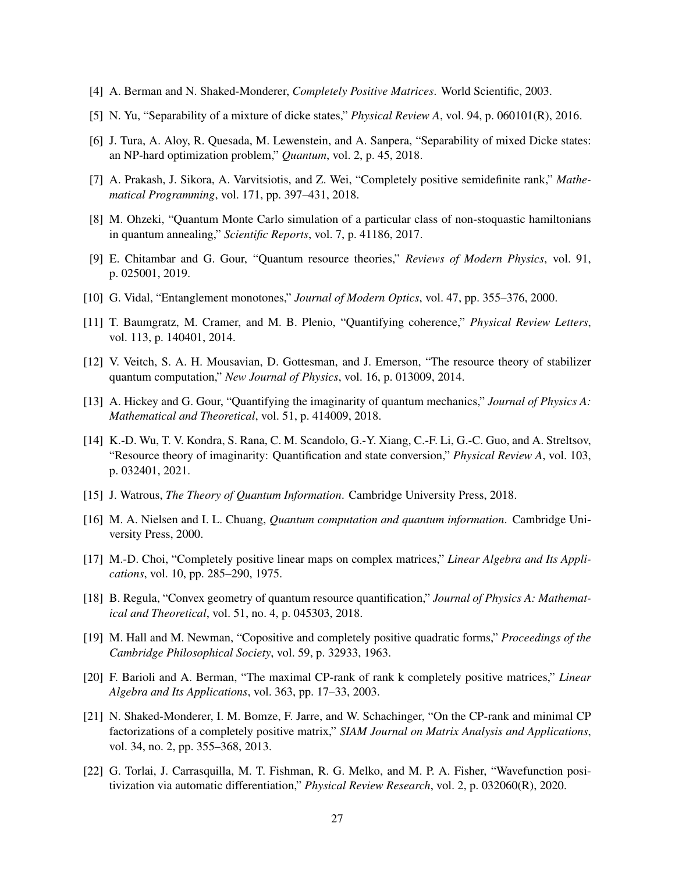- <span id="page-26-0"></span>[4] A. Berman and N. Shaked-Monderer, *Completely Positive Matrices*. World Scientific, 2003.
- <span id="page-26-1"></span>[5] N. Yu, "Separability of a mixture of dicke states," *Physical Review A*, vol. 94, p. 060101(R), 2016.
- <span id="page-26-2"></span>[6] J. Tura, A. Aloy, R. Quesada, M. Lewenstein, and A. Sanpera, "Separability of mixed Dicke states: an NP-hard optimization problem," *Quantum*, vol. 2, p. 45, 2018.
- <span id="page-26-3"></span>[7] A. Prakash, J. Sikora, A. Varvitsiotis, and Z. Wei, "Completely positive semidefinite rank," *Mathematical Programming*, vol. 171, pp. 397–431, 2018.
- <span id="page-26-4"></span>[8] M. Ohzeki, "Quantum Monte Carlo simulation of a particular class of non-stoquastic hamiltonians in quantum annealing," *Scientific Reports*, vol. 7, p. 41186, 2017.
- <span id="page-26-5"></span>[9] E. Chitambar and G. Gour, "Quantum resource theories," *Reviews of Modern Physics*, vol. 91, p. 025001, 2019.
- <span id="page-26-6"></span>[10] G. Vidal, "Entanglement monotones," *Journal of Modern Optics*, vol. 47, pp. 355–376, 2000.
- <span id="page-26-7"></span>[11] T. Baumgratz, M. Cramer, and M. B. Plenio, "Quantifying coherence," *Physical Review Letters*, vol. 113, p. 140401, 2014.
- <span id="page-26-8"></span>[12] V. Veitch, S. A. H. Mousavian, D. Gottesman, and J. Emerson, "The resource theory of stabilizer quantum computation," *New Journal of Physics*, vol. 16, p. 013009, 2014.
- <span id="page-26-9"></span>[13] A. Hickey and G. Gour, "Quantifying the imaginarity of quantum mechanics," *Journal of Physics A: Mathematical and Theoretical*, vol. 51, p. 414009, 2018.
- <span id="page-26-10"></span>[14] K.-D. Wu, T. V. Kondra, S. Rana, C. M. Scandolo, G.-Y. Xiang, C.-F. Li, G.-C. Guo, and A. Streltsov, "Resource theory of imaginarity: Quantification and state conversion," *Physical Review A*, vol. 103, p. 032401, 2021.
- <span id="page-26-11"></span>[15] J. Watrous, *The Theory of Quantum Information*. Cambridge University Press, 2018.
- <span id="page-26-12"></span>[16] M. A. Nielsen and I. L. Chuang, *Quantum computation and quantum information*. Cambridge University Press, 2000.
- <span id="page-26-13"></span>[17] M.-D. Choi, "Completely positive linear maps on complex matrices," Linear Algebra and Its Appli*cations*, vol. 10, pp. 285–290, 1975.
- <span id="page-26-14"></span>[18] B. Regula, "Convex geometry of quantum resource quantification," *Journal of Physics A: Mathematical and Theoretical*, vol. 51, no. 4, p. 045303, 2018.
- <span id="page-26-15"></span>[19] M. Hall and M. Newman, "Copositive and completely positive quadratic forms," *Proceedings of the Cambridge Philosophical Society*, vol. 59, p. 32933, 1963.
- <span id="page-26-16"></span>[20] F. Barioli and A. Berman, "The maximal CP-rank of rank k completely positive matrices," *Linear Algebra and Its Applications*, vol. 363, pp. 17–33, 2003.
- <span id="page-26-17"></span>[21] N. Shaked-Monderer, I. M. Bomze, F. Jarre, and W. Schachinger, "On the CP-rank and minimal CP factorizations of a completely positive matrix," *SIAM Journal on Matrix Analysis and Applications*, vol. 34, no. 2, pp. 355–368, 2013.
- <span id="page-26-18"></span>[22] G. Torlai, J. Carrasquilla, M. T. Fishman, R. G. Melko, and M. P. A. Fisher, "Wavefunction positivization via automatic differentiation," *Physical Review Research*, vol. 2, p. 032060(R), 2020.